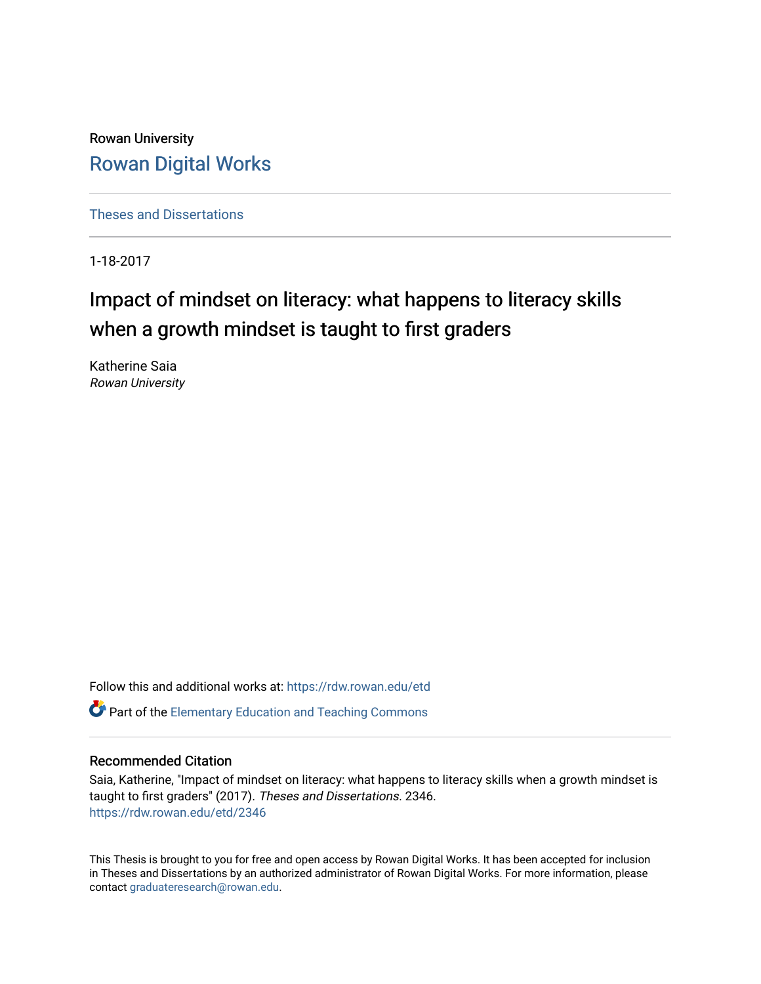Rowan University [Rowan Digital Works](https://rdw.rowan.edu/)

[Theses and Dissertations](https://rdw.rowan.edu/etd)

1-18-2017

# Impact of mindset on literacy: what happens to literacy skills when a growth mindset is taught to first graders

Katherine Saia Rowan University

Follow this and additional works at: [https://rdw.rowan.edu/etd](https://rdw.rowan.edu/etd?utm_source=rdw.rowan.edu%2Fetd%2F2346&utm_medium=PDF&utm_campaign=PDFCoverPages)  **C** Part of the Elementary Education and Teaching Commons

# Recommended Citation

Saia, Katherine, "Impact of mindset on literacy: what happens to literacy skills when a growth mindset is taught to first graders" (2017). Theses and Dissertations. 2346. [https://rdw.rowan.edu/etd/2346](https://rdw.rowan.edu/etd/2346?utm_source=rdw.rowan.edu%2Fetd%2F2346&utm_medium=PDF&utm_campaign=PDFCoverPages)

This Thesis is brought to you for free and open access by Rowan Digital Works. It has been accepted for inclusion in Theses and Dissertations by an authorized administrator of Rowan Digital Works. For more information, please contact [graduateresearch@rowan.edu.](mailto:graduateresearch@rowan.edu)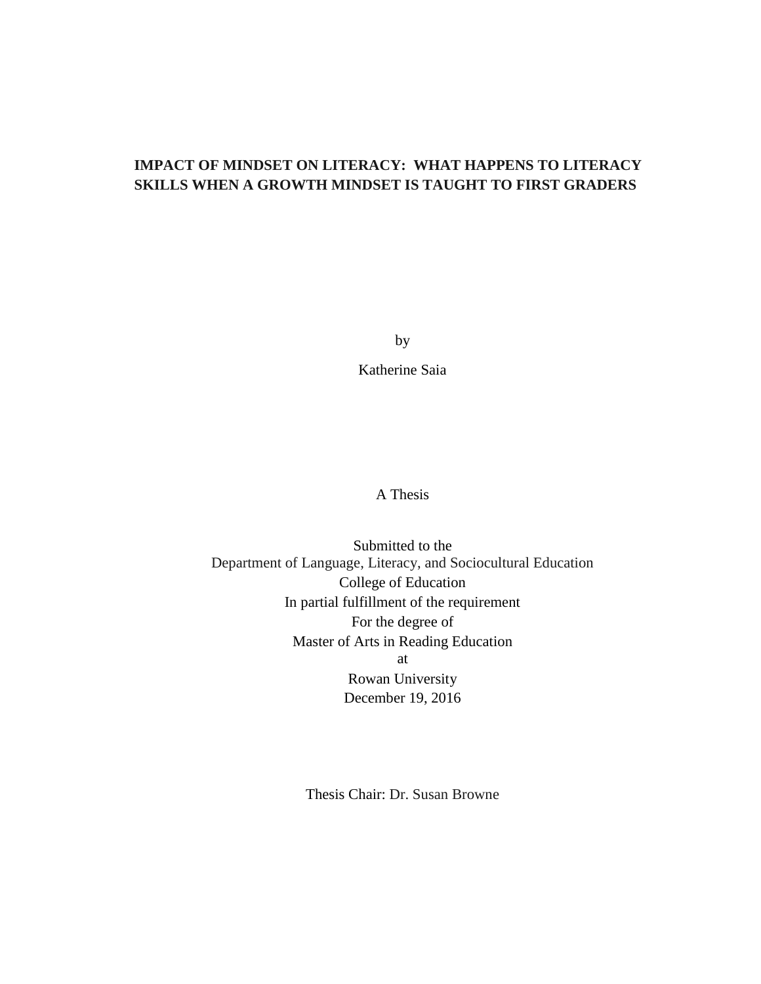# **IMPACT OF MINDSET ON LITERACY: WHAT HAPPENS TO LITERACY SKILLS WHEN A GROWTH MINDSET IS TAUGHT TO FIRST GRADERS**

by

Katherine Saia

A Thesis

Submitted to the Department of Language, Literacy, and Sociocultural Education College of Education In partial fulfillment of the requirement For the degree of Master of Arts in Reading Education at Rowan University December 19, 2016

Thesis Chair: Dr. Susan Browne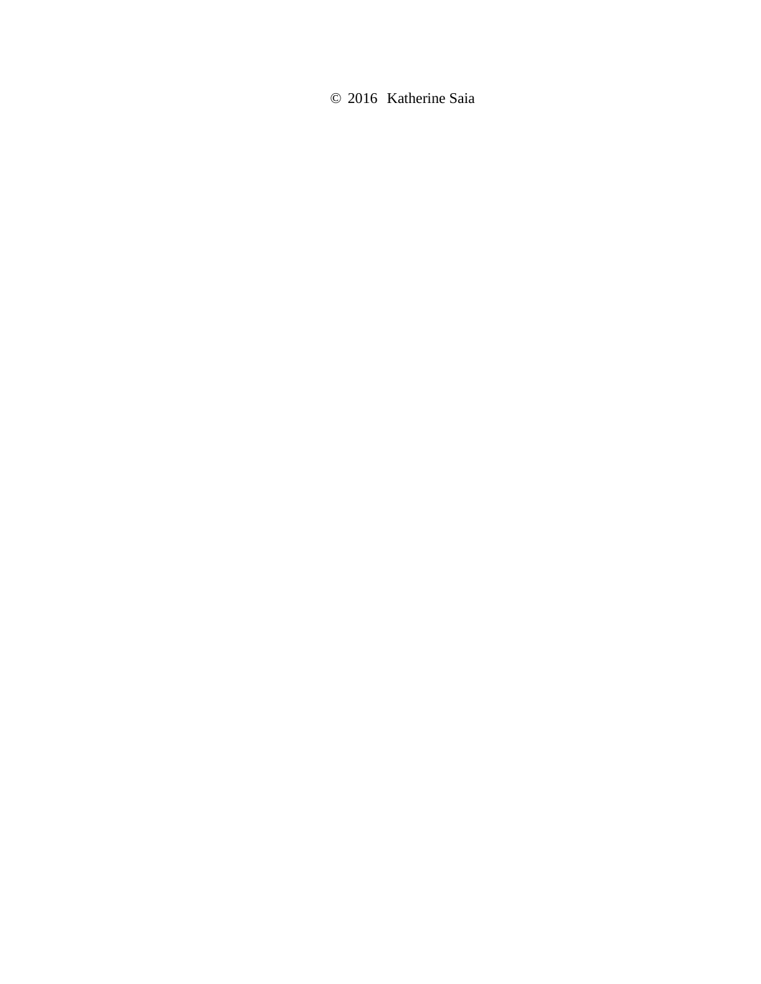© 2016 Katherine Saia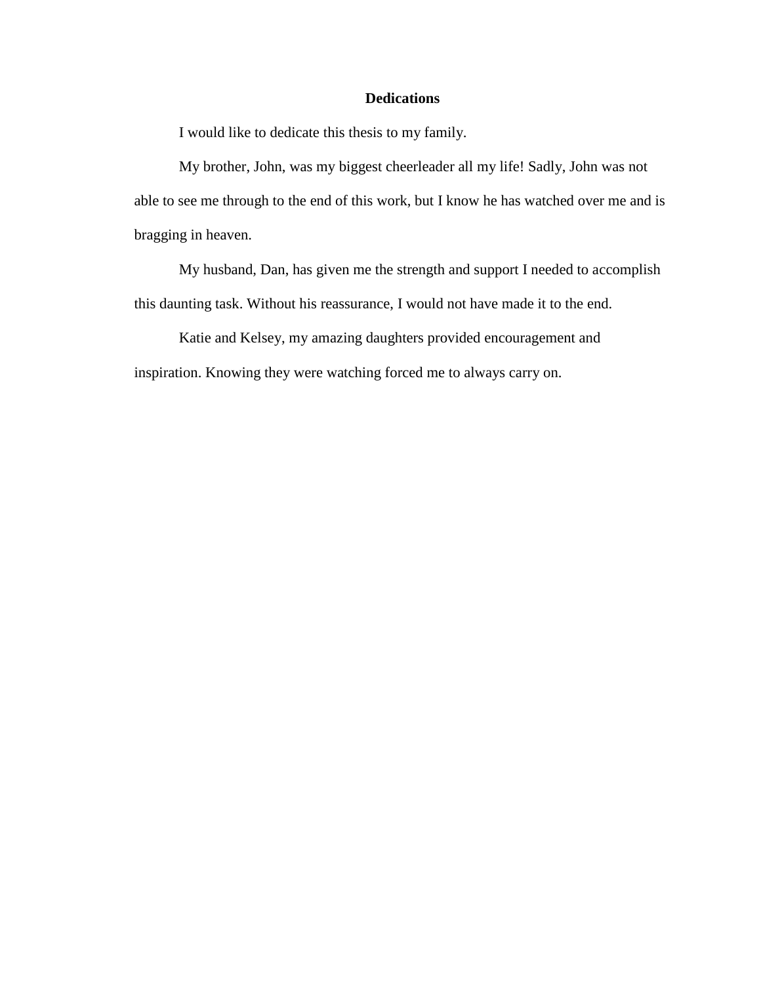# **Dedications**

I would like to dedicate this thesis to my family.

My brother, John, was my biggest cheerleader all my life! Sadly, John was not able to see me through to the end of this work, but I know he has watched over me and is bragging in heaven.

My husband, Dan, has given me the strength and support I needed to accomplish this daunting task. Without his reassurance, I would not have made it to the end.

Katie and Kelsey, my amazing daughters provided encouragement and inspiration. Knowing they were watching forced me to always carry on.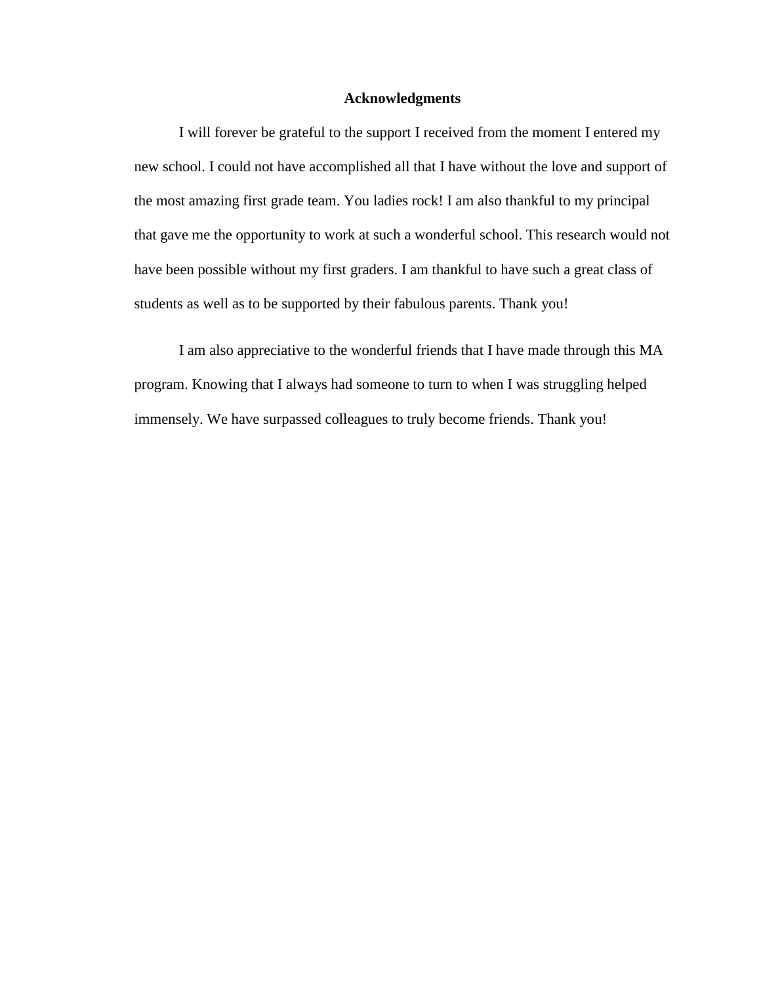#### **Acknowledgments**

I will forever be grateful to the support I received from the moment I entered my new school. I could not have accomplished all that I have without the love and support of the most amazing first grade team. You ladies rock! I am also thankful to my principal that gave me the opportunity to work at such a wonderful school. This research would not have been possible without my first graders. I am thankful to have such a great class of students as well as to be supported by their fabulous parents. Thank you!

I am also appreciative to the wonderful friends that I have made through this MA program. Knowing that I always had someone to turn to when I was struggling helped immensely. We have surpassed colleagues to truly become friends. Thank you!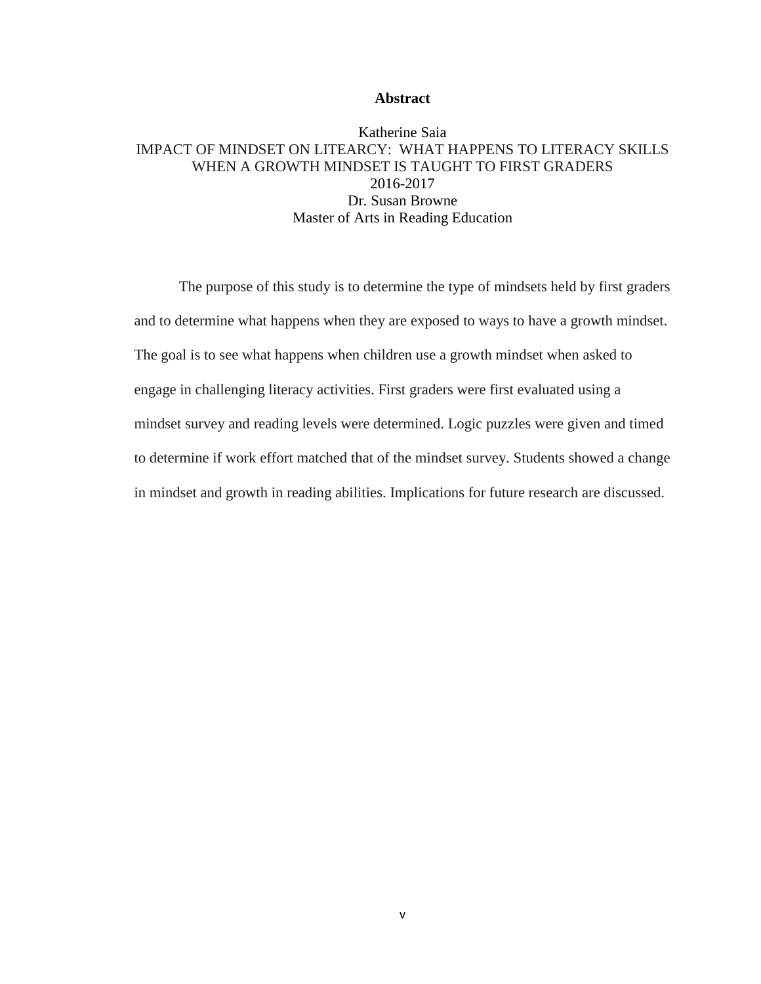#### **Abstract**

# Katherine Saia IMPACT OF MINDSET ON LITEARCY: WHAT HAPPENS TO LITERACY SKILLS WHEN A GROWTH MINDSET IS TAUGHT TO FIRST GRADERS 2016-2017 Dr. Susan Browne Master of Arts in Reading Education

The purpose of this study is to determine the type of mindsets held by first graders and to determine what happens when they are exposed to ways to have a growth mindset. The goal is to see what happens when children use a growth mindset when asked to engage in challenging literacy activities. First graders were first evaluated using a mindset survey and reading levels were determined. Logic puzzles were given and timed to determine if work effort matched that of the mindset survey. Students showed a change in mindset and growth in reading abilities. Implications for future research are discussed.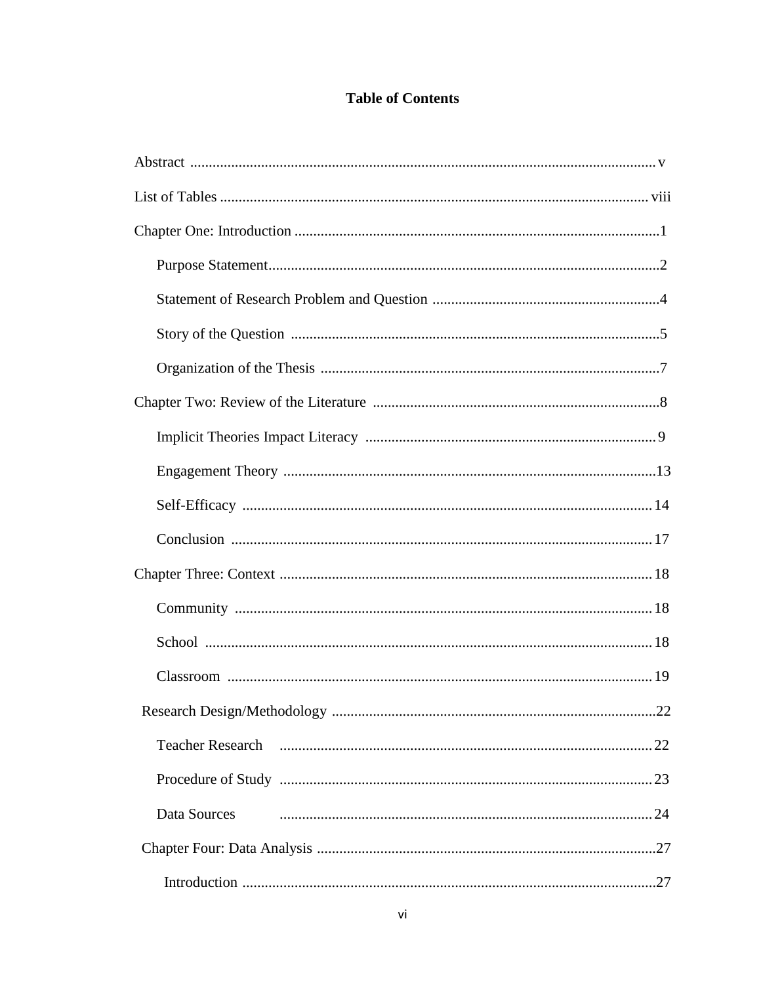# **Table of Contents**

| <b>Teacher Research</b> |
|-------------------------|
|                         |
| Data Sources            |
|                         |
|                         |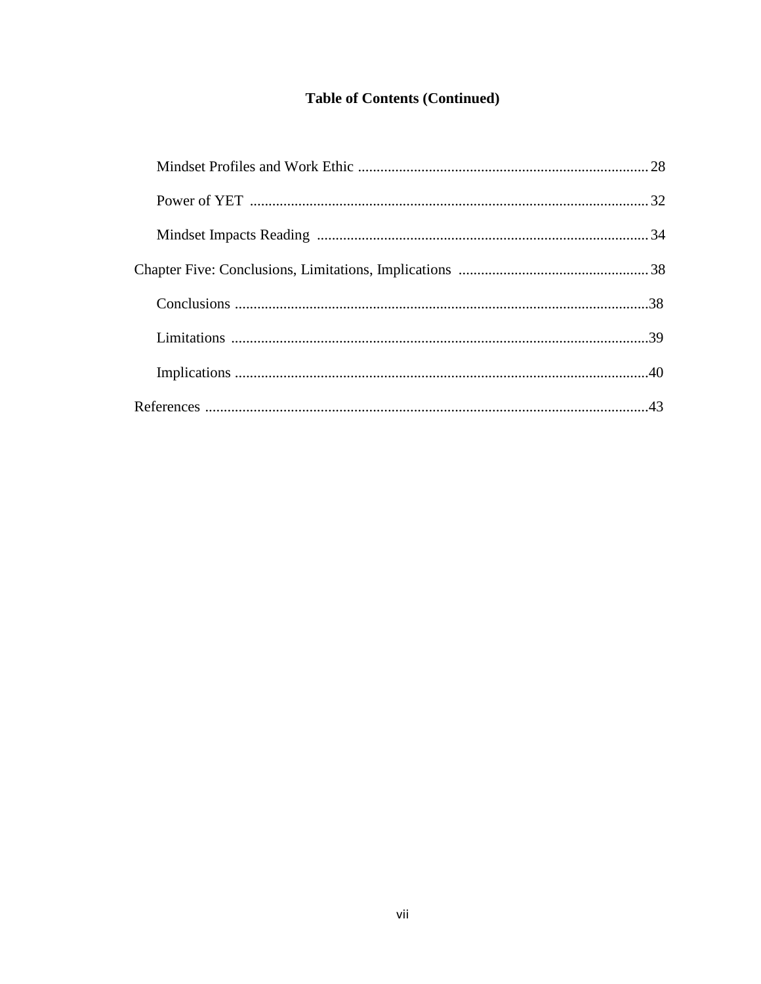# **Table of Contents (Continued)**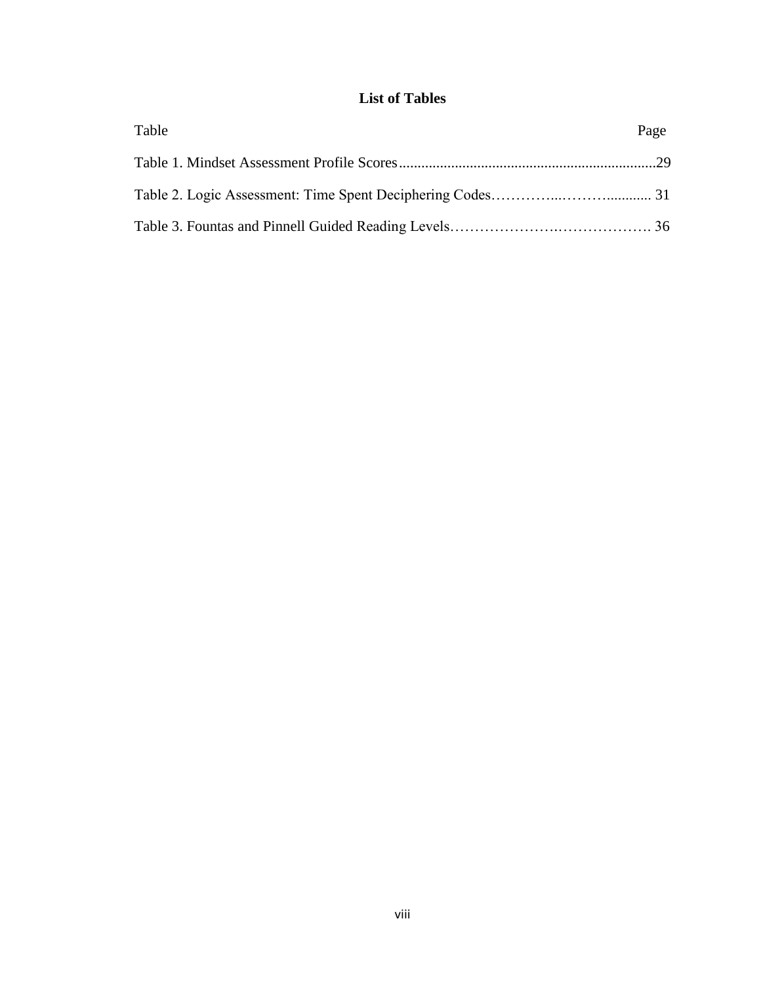# **List of Tables**

| Table | Page |
|-------|------|
|       |      |
|       |      |
|       |      |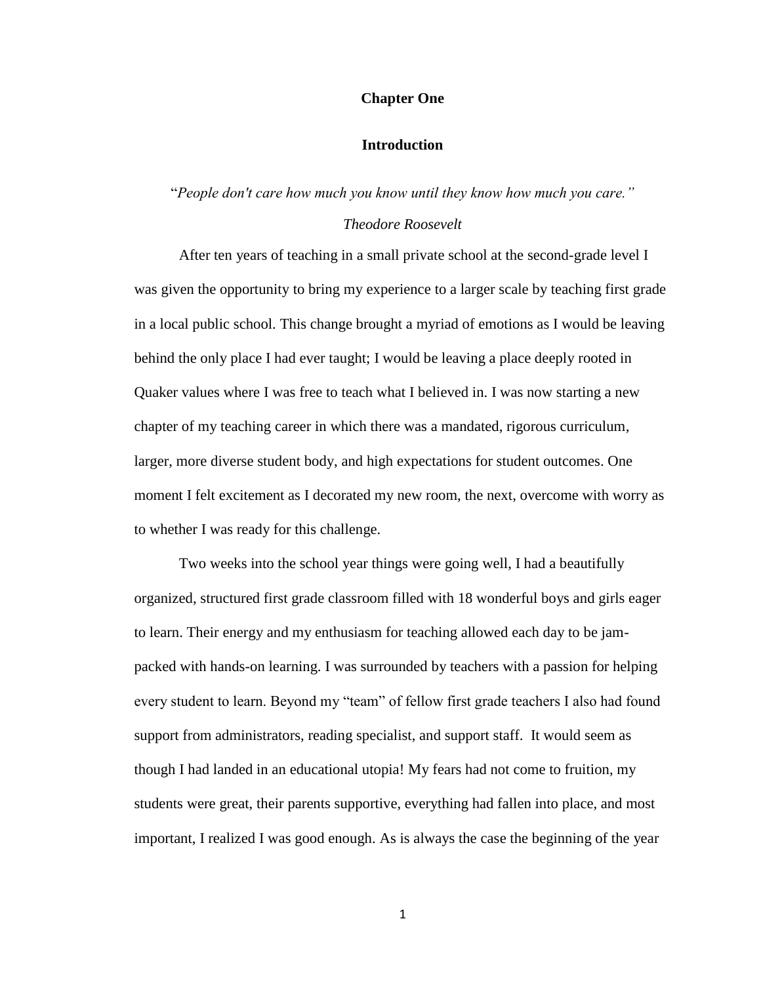#### **Chapter One**

#### **Introduction**

#### "*People don't care how much you know until they know how much you care."*

#### *Theodore Roosevelt*

After ten years of teaching in a small private school at the second-grade level I was given the opportunity to bring my experience to a larger scale by teaching first grade in a local public school. This change brought a myriad of emotions as I would be leaving behind the only place I had ever taught; I would be leaving a place deeply rooted in Quaker values where I was free to teach what I believed in. I was now starting a new chapter of my teaching career in which there was a mandated, rigorous curriculum, larger, more diverse student body, and high expectations for student outcomes. One moment I felt excitement as I decorated my new room, the next, overcome with worry as to whether I was ready for this challenge.

Two weeks into the school year things were going well, I had a beautifully organized, structured first grade classroom filled with 18 wonderful boys and girls eager to learn. Their energy and my enthusiasm for teaching allowed each day to be jampacked with hands-on learning. I was surrounded by teachers with a passion for helping every student to learn. Beyond my "team" of fellow first grade teachers I also had found support from administrators, reading specialist, and support staff. It would seem as though I had landed in an educational utopia! My fears had not come to fruition, my students were great, their parents supportive, everything had fallen into place, and most important, I realized I was good enough. As is always the case the beginning of the year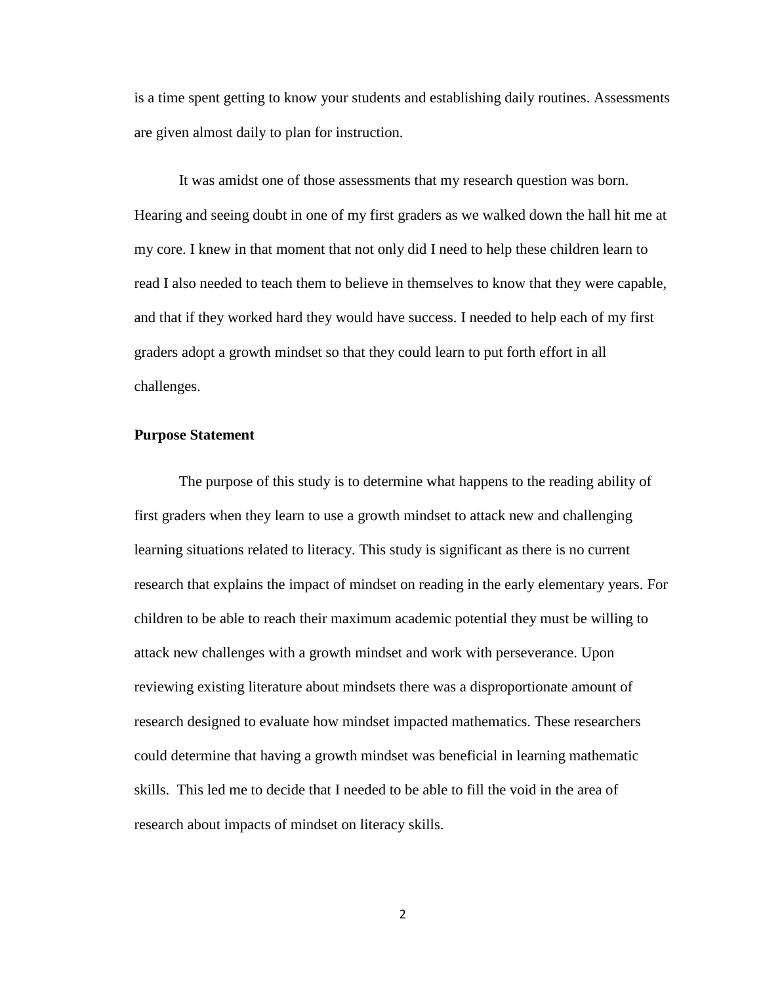is a time spent getting to know your students and establishing daily routines. Assessments are given almost daily to plan for instruction.

It was amidst one of those assessments that my research question was born. Hearing and seeing doubt in one of my first graders as we walked down the hall hit me at my core. I knew in that moment that not only did I need to help these children learn to read I also needed to teach them to believe in themselves to know that they were capable, and that if they worked hard they would have success. I needed to help each of my first graders adopt a growth mindset so that they could learn to put forth effort in all challenges.

#### **Purpose Statement**

The purpose of this study is to determine what happens to the reading ability of first graders when they learn to use a growth mindset to attack new and challenging learning situations related to literacy. This study is significant as there is no current research that explains the impact of mindset on reading in the early elementary years. For children to be able to reach their maximum academic potential they must be willing to attack new challenges with a growth mindset and work with perseverance. Upon reviewing existing literature about mindsets there was a disproportionate amount of research designed to evaluate how mindset impacted mathematics. These researchers could determine that having a growth mindset was beneficial in learning mathematic skills. This led me to decide that I needed to be able to fill the void in the area of research about impacts of mindset on literacy skills.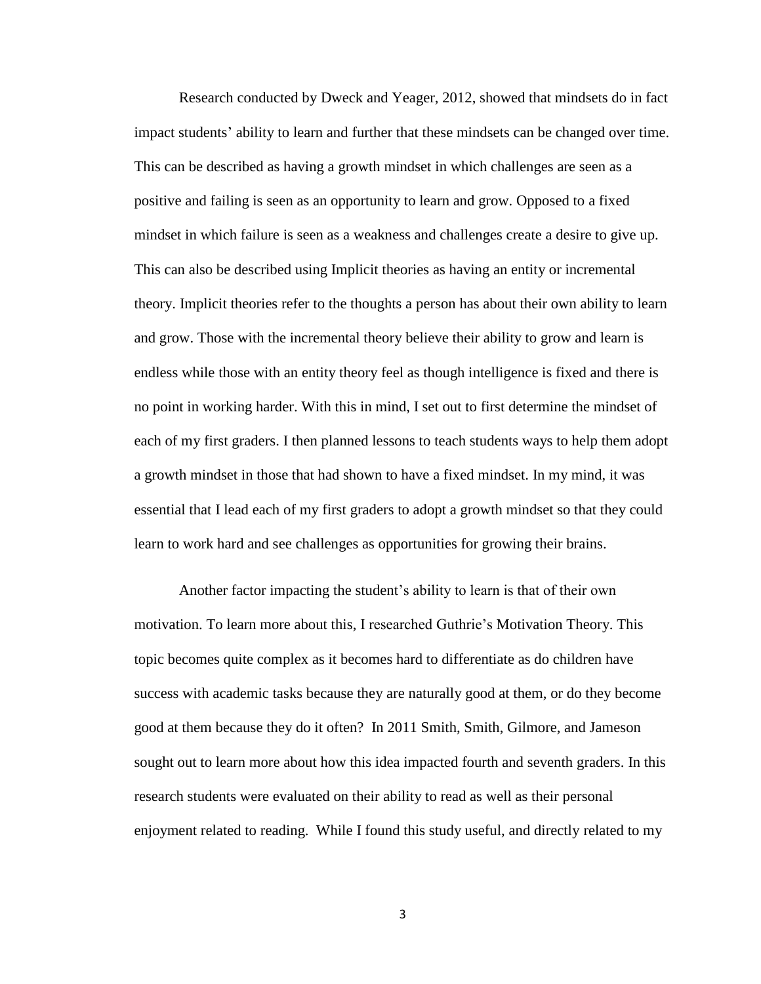Research conducted by Dweck and Yeager, 2012, showed that mindsets do in fact impact students' ability to learn and further that these mindsets can be changed over time. This can be described as having a growth mindset in which challenges are seen as a positive and failing is seen as an opportunity to learn and grow. Opposed to a fixed mindset in which failure is seen as a weakness and challenges create a desire to give up. This can also be described using Implicit theories as having an entity or incremental theory. Implicit theories refer to the thoughts a person has about their own ability to learn and grow. Those with the incremental theory believe their ability to grow and learn is endless while those with an entity theory feel as though intelligence is fixed and there is no point in working harder. With this in mind, I set out to first determine the mindset of each of my first graders. I then planned lessons to teach students ways to help them adopt a growth mindset in those that had shown to have a fixed mindset. In my mind, it was essential that I lead each of my first graders to adopt a growth mindset so that they could learn to work hard and see challenges as opportunities for growing their brains.

Another factor impacting the student's ability to learn is that of their own motivation. To learn more about this, I researched Guthrie's Motivation Theory. This topic becomes quite complex as it becomes hard to differentiate as do children have success with academic tasks because they are naturally good at them, or do they become good at them because they do it often? In 2011 Smith, Smith, Gilmore, and Jameson sought out to learn more about how this idea impacted fourth and seventh graders. In this research students were evaluated on their ability to read as well as their personal enjoyment related to reading. While I found this study useful, and directly related to my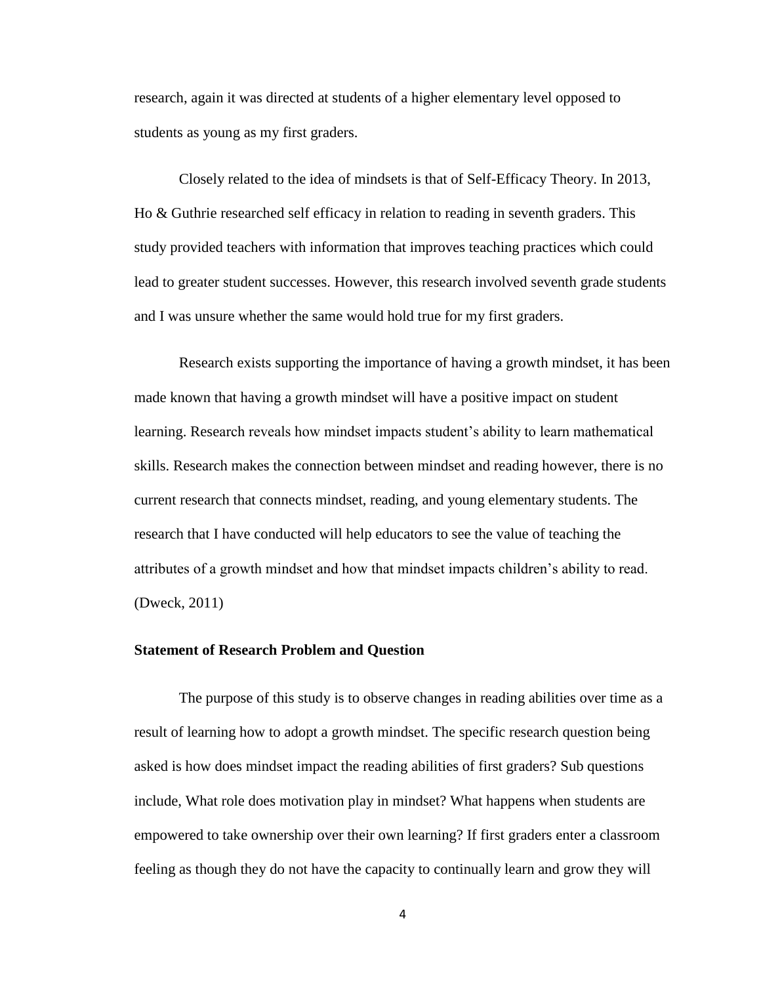research, again it was directed at students of a higher elementary level opposed to students as young as my first graders.

Closely related to the idea of mindsets is that of Self-Efficacy Theory. In 2013, Ho & Guthrie researched self efficacy in relation to reading in seventh graders. This study provided teachers with information that improves teaching practices which could lead to greater student successes. However, this research involved seventh grade students and I was unsure whether the same would hold true for my first graders.

Research exists supporting the importance of having a growth mindset, it has been made known that having a growth mindset will have a positive impact on student learning. Research reveals how mindset impacts student's ability to learn mathematical skills. Research makes the connection between mindset and reading however, there is no current research that connects mindset, reading, and young elementary students. The research that I have conducted will help educators to see the value of teaching the attributes of a growth mindset and how that mindset impacts children's ability to read. (Dweck, 2011)

#### **Statement of Research Problem and Question**

The purpose of this study is to observe changes in reading abilities over time as a result of learning how to adopt a growth mindset. The specific research question being asked is how does mindset impact the reading abilities of first graders? Sub questions include, What role does motivation play in mindset? What happens when students are empowered to take ownership over their own learning? If first graders enter a classroom feeling as though they do not have the capacity to continually learn and grow they will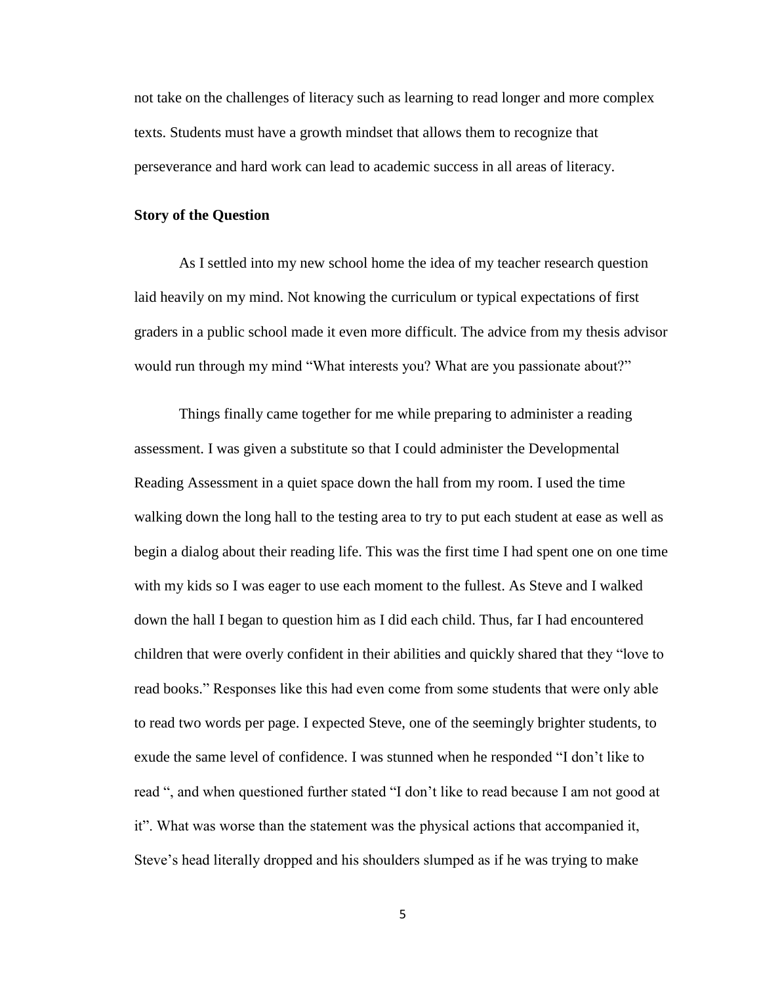not take on the challenges of literacy such as learning to read longer and more complex texts. Students must have a growth mindset that allows them to recognize that perseverance and hard work can lead to academic success in all areas of literacy.

#### **Story of the Question**

As I settled into my new school home the idea of my teacher research question laid heavily on my mind. Not knowing the curriculum or typical expectations of first graders in a public school made it even more difficult. The advice from my thesis advisor would run through my mind "What interests you? What are you passionate about?"

Things finally came together for me while preparing to administer a reading assessment. I was given a substitute so that I could administer the Developmental Reading Assessment in a quiet space down the hall from my room. I used the time walking down the long hall to the testing area to try to put each student at ease as well as begin a dialog about their reading life. This was the first time I had spent one on one time with my kids so I was eager to use each moment to the fullest. As Steve and I walked down the hall I began to question him as I did each child. Thus, far I had encountered children that were overly confident in their abilities and quickly shared that they "love to read books." Responses like this had even come from some students that were only able to read two words per page. I expected Steve, one of the seemingly brighter students, to exude the same level of confidence. I was stunned when he responded "I don't like to read ", and when questioned further stated "I don't like to read because I am not good at it". What was worse than the statement was the physical actions that accompanied it, Steve's head literally dropped and his shoulders slumped as if he was trying to make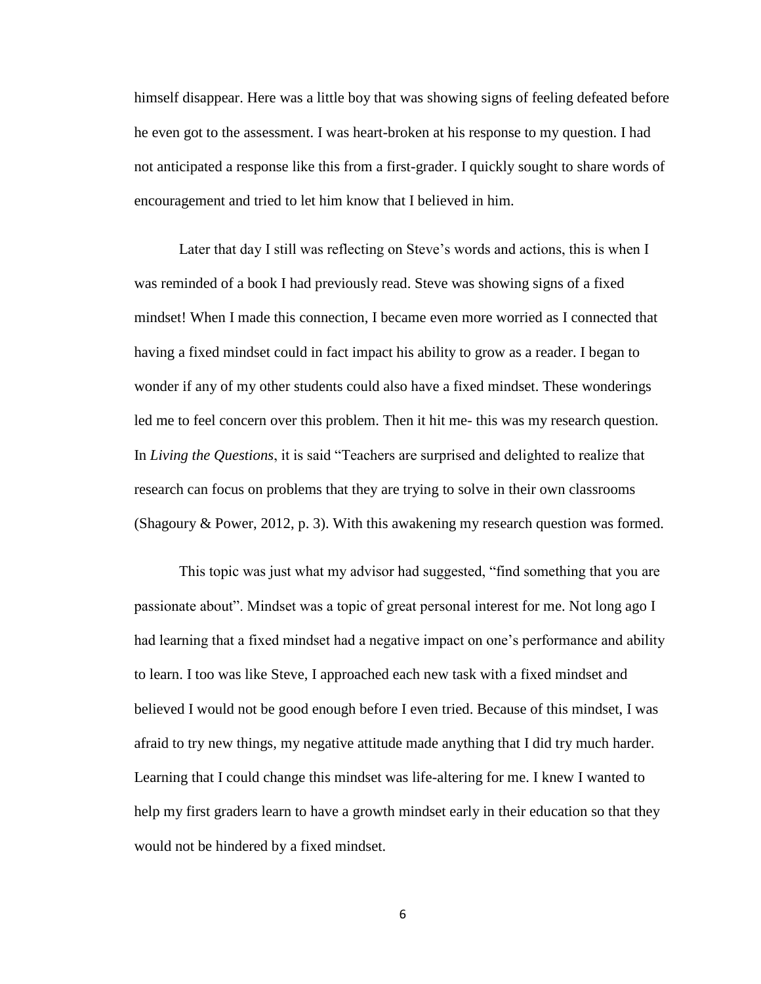himself disappear. Here was a little boy that was showing signs of feeling defeated before he even got to the assessment. I was heart-broken at his response to my question. I had not anticipated a response like this from a first-grader. I quickly sought to share words of encouragement and tried to let him know that I believed in him.

Later that day I still was reflecting on Steve's words and actions, this is when I was reminded of a book I had previously read. Steve was showing signs of a fixed mindset! When I made this connection, I became even more worried as I connected that having a fixed mindset could in fact impact his ability to grow as a reader. I began to wonder if any of my other students could also have a fixed mindset. These wonderings led me to feel concern over this problem. Then it hit me- this was my research question. In *Living the Questions*, it is said "Teachers are surprised and delighted to realize that research can focus on problems that they are trying to solve in their own classrooms (Shagoury & Power, 2012, p. 3). With this awakening my research question was formed.

This topic was just what my advisor had suggested, "find something that you are passionate about". Mindset was a topic of great personal interest for me. Not long ago I had learning that a fixed mindset had a negative impact on one's performance and ability to learn. I too was like Steve, I approached each new task with a fixed mindset and believed I would not be good enough before I even tried. Because of this mindset, I was afraid to try new things, my negative attitude made anything that I did try much harder. Learning that I could change this mindset was life-altering for me. I knew I wanted to help my first graders learn to have a growth mindset early in their education so that they would not be hindered by a fixed mindset.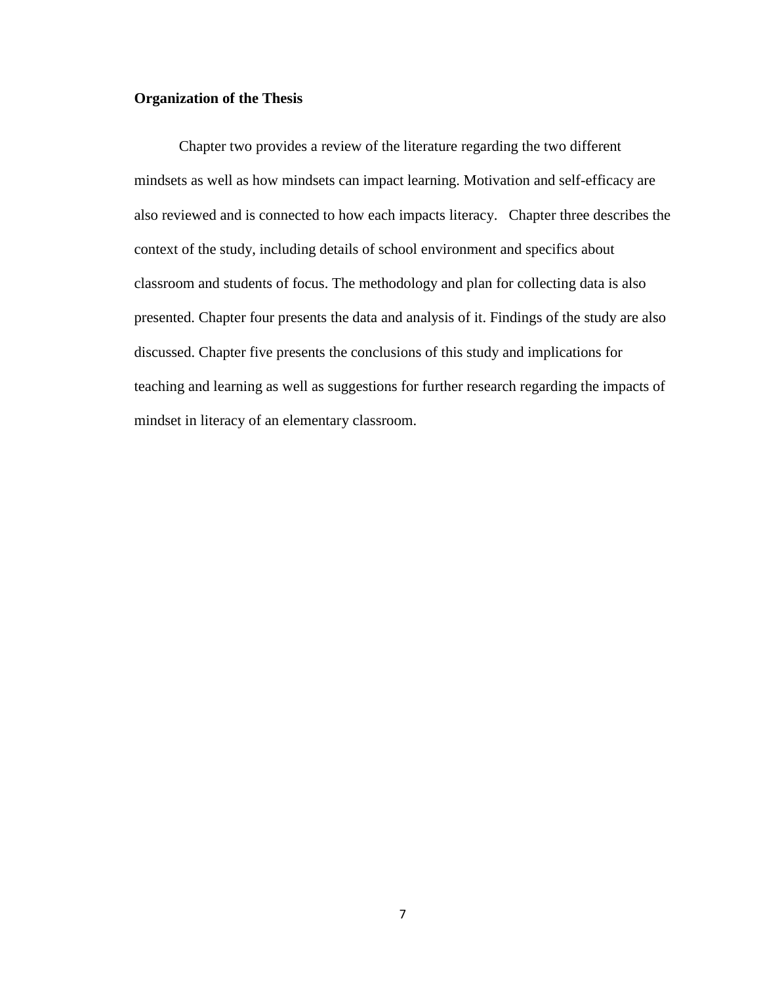# **Organization of the Thesis**

Chapter two provides a review of the literature regarding the two different mindsets as well as how mindsets can impact learning. Motivation and self-efficacy are also reviewed and is connected to how each impacts literacy. Chapter three describes the context of the study, including details of school environment and specifics about classroom and students of focus. The methodology and plan for collecting data is also presented. Chapter four presents the data and analysis of it. Findings of the study are also discussed. Chapter five presents the conclusions of this study and implications for teaching and learning as well as suggestions for further research regarding the impacts of mindset in literacy of an elementary classroom.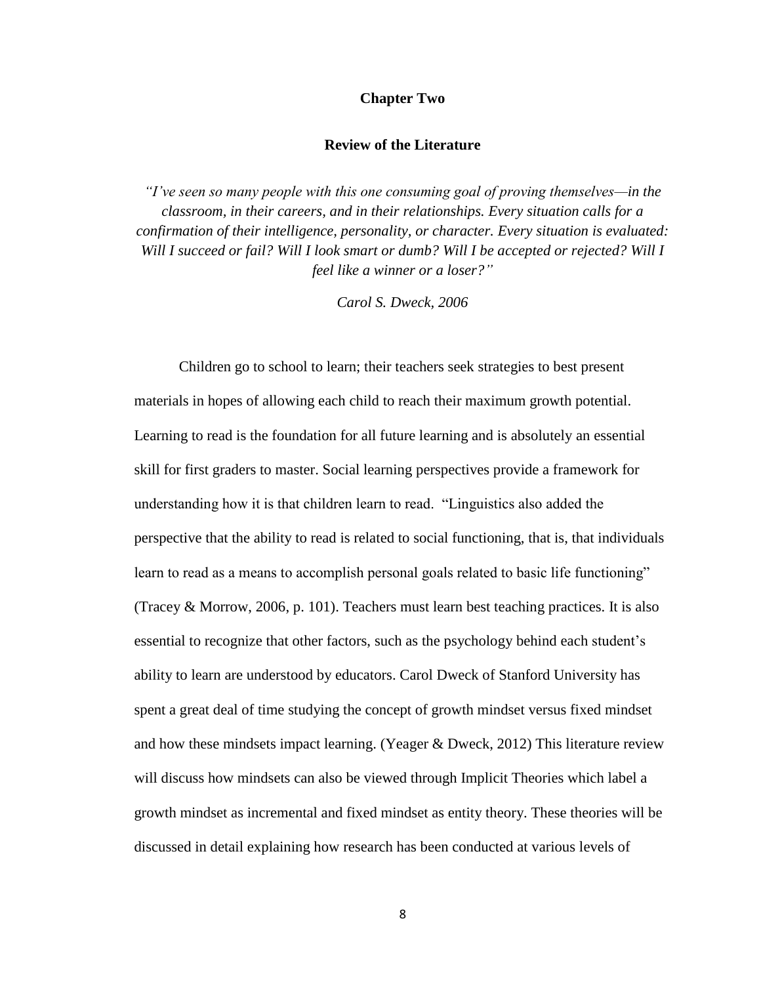#### **Chapter Two**

#### **Review of the Literature**

*"I've seen so many people with this one consuming goal of proving themselves—in the classroom, in their careers, and in their relationships. Every situation calls for a confirmation of their intelligence, personality, or character. Every situation is evaluated: Will I succeed or fail? Will I look smart or dumb? Will I be accepted or rejected? Will I feel like a winner or a loser?"*

*Carol S. Dweck, 2006*

Children go to school to learn; their teachers seek strategies to best present materials in hopes of allowing each child to reach their maximum growth potential. Learning to read is the foundation for all future learning and is absolutely an essential skill for first graders to master. Social learning perspectives provide a framework for understanding how it is that children learn to read. "Linguistics also added the perspective that the ability to read is related to social functioning, that is, that individuals learn to read as a means to accomplish personal goals related to basic life functioning" (Tracey & Morrow, 2006, p. 101). Teachers must learn best teaching practices. It is also essential to recognize that other factors, such as the psychology behind each student's ability to learn are understood by educators. Carol Dweck of Stanford University has spent a great deal of time studying the concept of growth mindset versus fixed mindset and how these mindsets impact learning. (Yeager & Dweck, 2012) This literature review will discuss how mindsets can also be viewed through Implicit Theories which label a growth mindset as incremental and fixed mindset as entity theory. These theories will be discussed in detail explaining how research has been conducted at various levels of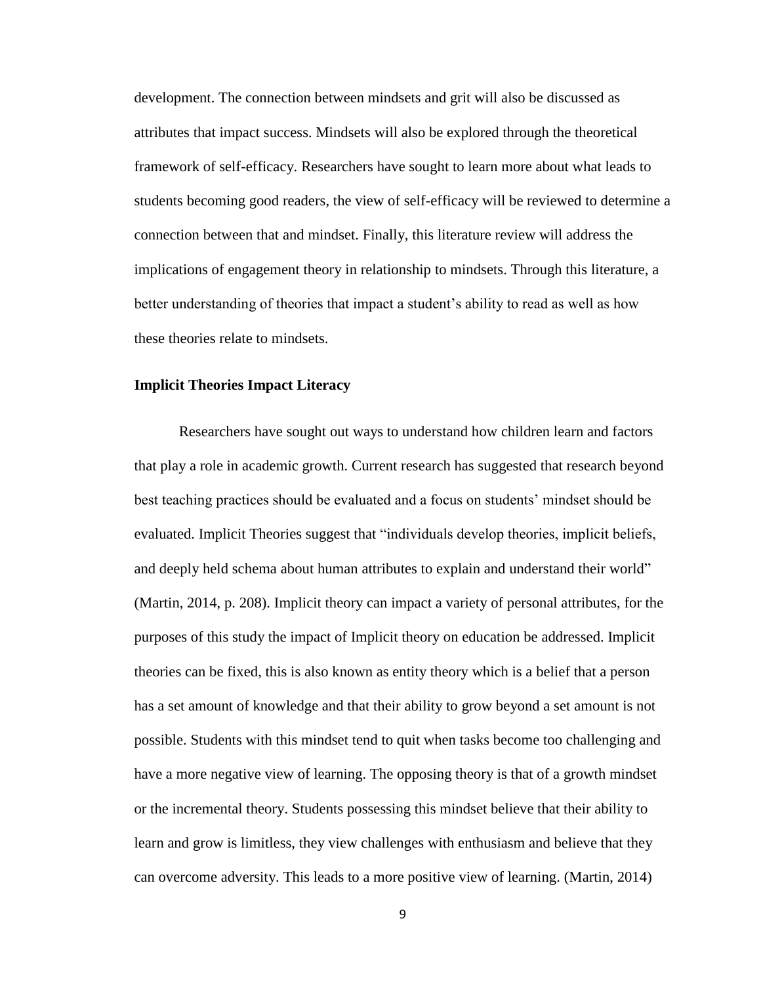development. The connection between mindsets and grit will also be discussed as attributes that impact success. Mindsets will also be explored through the theoretical framework of self-efficacy. Researchers have sought to learn more about what leads to students becoming good readers, the view of self-efficacy will be reviewed to determine a connection between that and mindset. Finally, this literature review will address the implications of engagement theory in relationship to mindsets. Through this literature, a better understanding of theories that impact a student's ability to read as well as how these theories relate to mindsets.

#### **Implicit Theories Impact Literacy**

Researchers have sought out ways to understand how children learn and factors that play a role in academic growth. Current research has suggested that research beyond best teaching practices should be evaluated and a focus on students' mindset should be evaluated. Implicit Theories suggest that "individuals develop theories, implicit beliefs, and deeply held schema about human attributes to explain and understand their world" (Martin, 2014, p. 208). Implicit theory can impact a variety of personal attributes, for the purposes of this study the impact of Implicit theory on education be addressed. Implicit theories can be fixed, this is also known as entity theory which is a belief that a person has a set amount of knowledge and that their ability to grow beyond a set amount is not possible. Students with this mindset tend to quit when tasks become too challenging and have a more negative view of learning. The opposing theory is that of a growth mindset or the incremental theory. Students possessing this mindset believe that their ability to learn and grow is limitless, they view challenges with enthusiasm and believe that they can overcome adversity. This leads to a more positive view of learning. (Martin, 2014)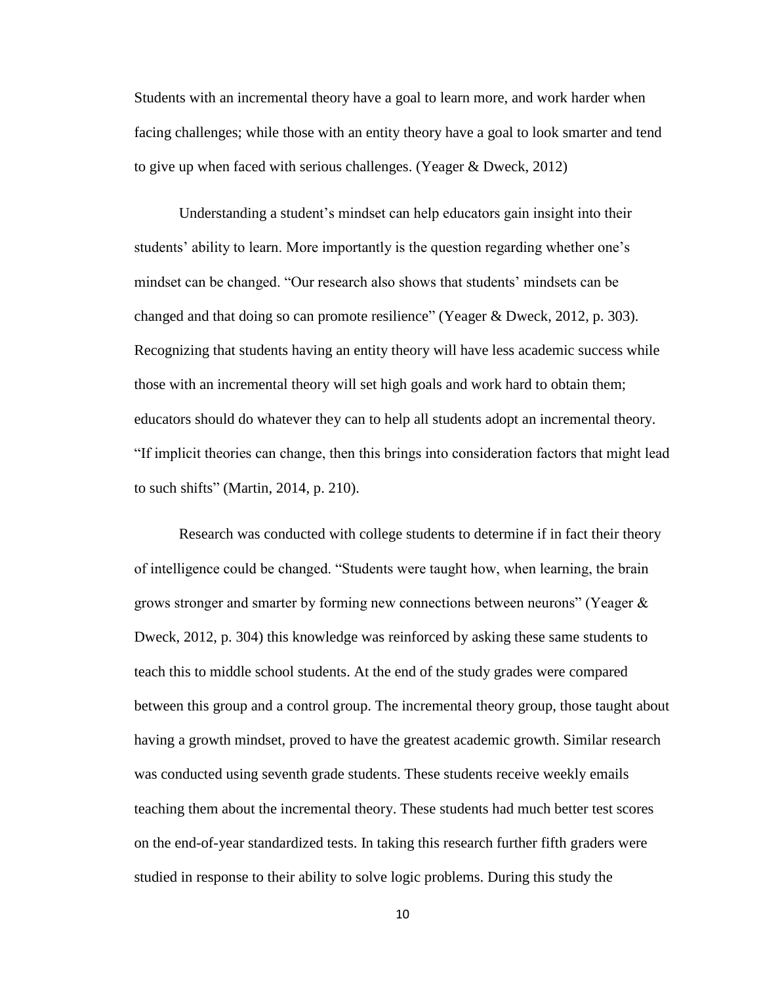Students with an incremental theory have a goal to learn more, and work harder when facing challenges; while those with an entity theory have a goal to look smarter and tend to give up when faced with serious challenges. (Yeager & Dweck, 2012)

Understanding a student's mindset can help educators gain insight into their students' ability to learn. More importantly is the question regarding whether one's mindset can be changed. "Our research also shows that students' mindsets can be changed and that doing so can promote resilience" (Yeager & Dweck, 2012, p. 303). Recognizing that students having an entity theory will have less academic success while those with an incremental theory will set high goals and work hard to obtain them; educators should do whatever they can to help all students adopt an incremental theory. "If implicit theories can change, then this brings into consideration factors that might lead to such shifts" (Martin, 2014, p. 210).

Research was conducted with college students to determine if in fact their theory of intelligence could be changed. "Students were taught how, when learning, the brain grows stronger and smarter by forming new connections between neurons" (Yeager & Dweck, 2012, p. 304) this knowledge was reinforced by asking these same students to teach this to middle school students. At the end of the study grades were compared between this group and a control group. The incremental theory group, those taught about having a growth mindset, proved to have the greatest academic growth. Similar research was conducted using seventh grade students. These students receive weekly emails teaching them about the incremental theory. These students had much better test scores on the end-of-year standardized tests. In taking this research further fifth graders were studied in response to their ability to solve logic problems. During this study the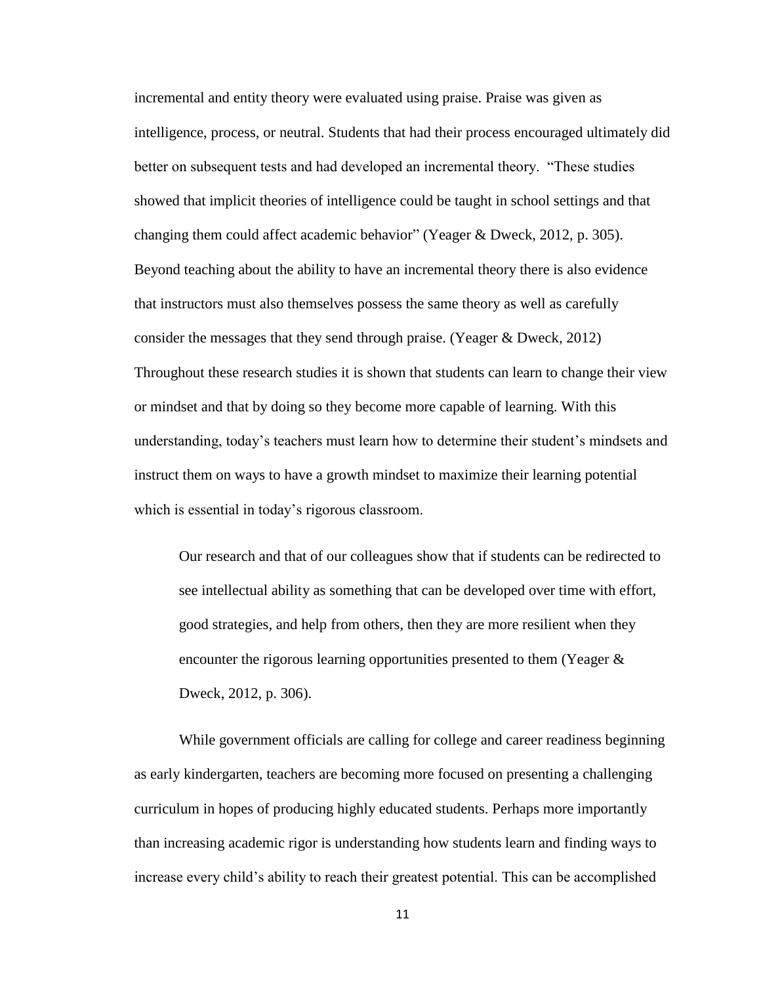incremental and entity theory were evaluated using praise. Praise was given as intelligence, process, or neutral. Students that had their process encouraged ultimately did better on subsequent tests and had developed an incremental theory. "These studies showed that implicit theories of intelligence could be taught in school settings and that changing them could affect academic behavior" (Yeager & Dweck, 2012, p. 305). Beyond teaching about the ability to have an incremental theory there is also evidence that instructors must also themselves possess the same theory as well as carefully consider the messages that they send through praise. (Yeager & Dweck, 2012) Throughout these research studies it is shown that students can learn to change their view or mindset and that by doing so they become more capable of learning. With this understanding, today's teachers must learn how to determine their student's mindsets and instruct them on ways to have a growth mindset to maximize their learning potential which is essential in today's rigorous classroom.

Our research and that of our colleagues show that if students can be redirected to see intellectual ability as something that can be developed over time with effort, good strategies, and help from others, then they are more resilient when they encounter the rigorous learning opportunities presented to them (Yeager & Dweck, 2012, p. 306).

While government officials are calling for college and career readiness beginning as early kindergarten, teachers are becoming more focused on presenting a challenging curriculum in hopes of producing highly educated students. Perhaps more importantly than increasing academic rigor is understanding how students learn and finding ways to increase every child's ability to reach their greatest potential. This can be accomplished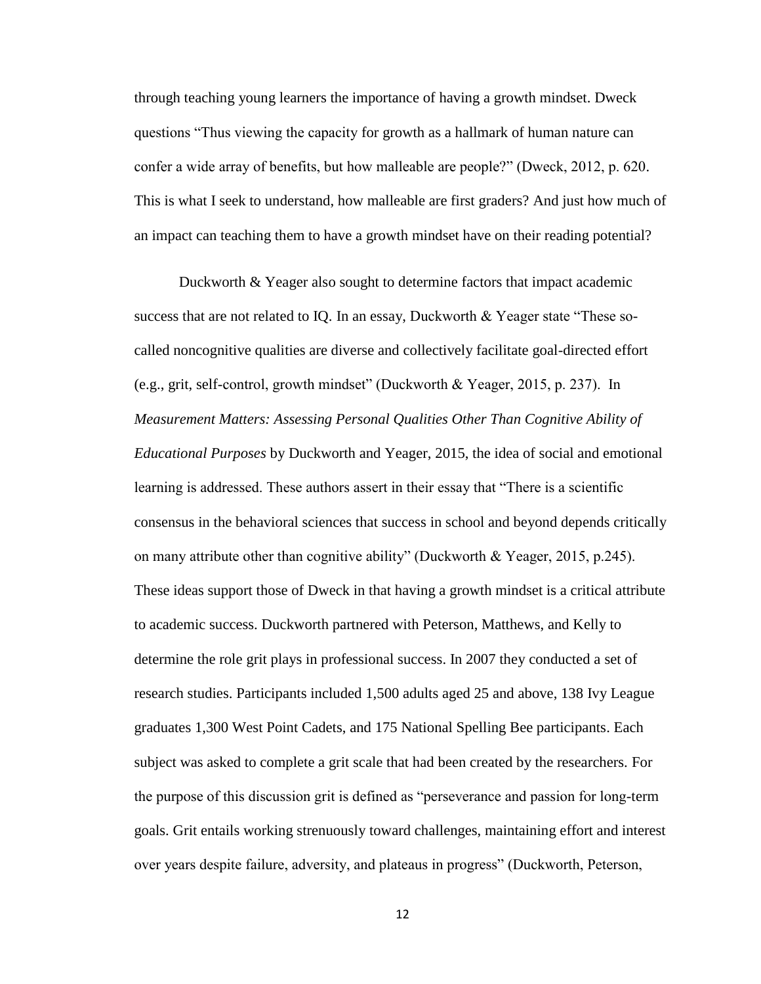through teaching young learners the importance of having a growth mindset. Dweck questions "Thus viewing the capacity for growth as a hallmark of human nature can confer a wide array of benefits, but how malleable are people?" (Dweck, 2012, p. 620. This is what I seek to understand, how malleable are first graders? And just how much of an impact can teaching them to have a growth mindset have on their reading potential?

Duckworth & Yeager also sought to determine factors that impact academic success that are not related to IQ. In an essay, Duckworth  $\&$  Yeager state "These socalled noncognitive qualities are diverse and collectively facilitate goal-directed effort (e.g., grit, self-control, growth mindset" (Duckworth & Yeager, 2015, p. 237). In *Measurement Matters: Assessing Personal Qualities Other Than Cognitive Ability of Educational Purposes* by Duckworth and Yeager, 2015, the idea of social and emotional learning is addressed. These authors assert in their essay that "There is a scientific consensus in the behavioral sciences that success in school and beyond depends critically on many attribute other than cognitive ability" (Duckworth & Yeager, 2015, p.245). These ideas support those of Dweck in that having a growth mindset is a critical attribute to academic success. Duckworth partnered with Peterson, Matthews, and Kelly to determine the role grit plays in professional success. In 2007 they conducted a set of research studies. Participants included 1,500 adults aged 25 and above, 138 Ivy League graduates 1,300 West Point Cadets, and 175 National Spelling Bee participants. Each subject was asked to complete a grit scale that had been created by the researchers. For the purpose of this discussion grit is defined as "perseverance and passion for long-term goals. Grit entails working strenuously toward challenges, maintaining effort and interest over years despite failure, adversity, and plateaus in progress" (Duckworth, Peterson,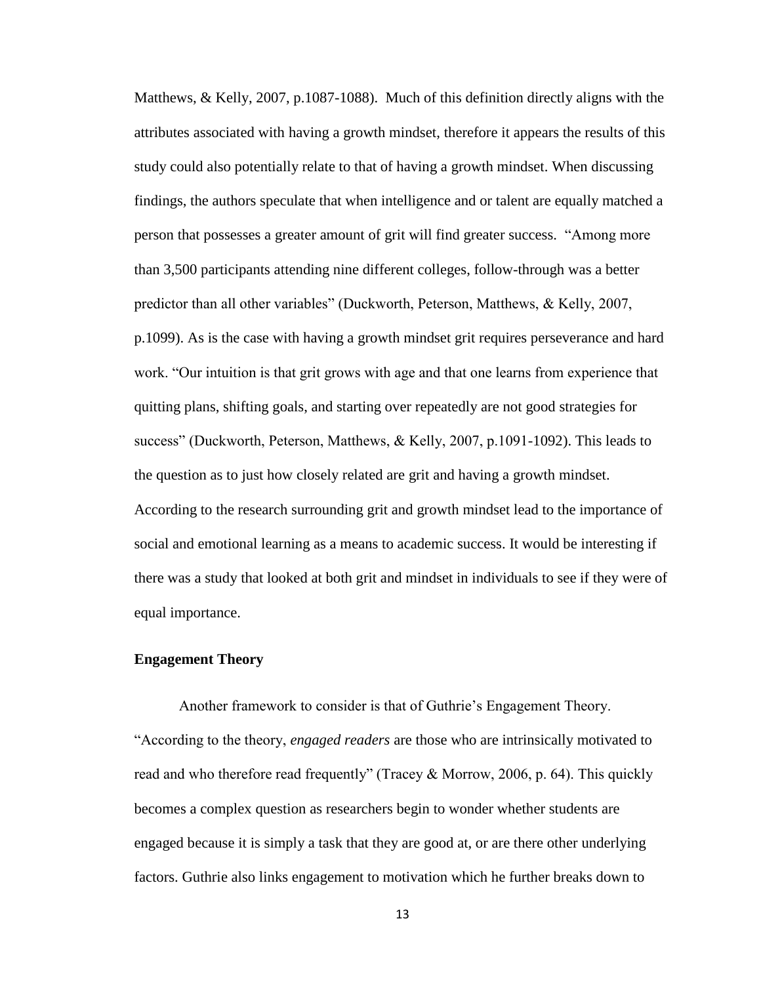Matthews, & Kelly, 2007, p.1087-1088). Much of this definition directly aligns with the attributes associated with having a growth mindset, therefore it appears the results of this study could also potentially relate to that of having a growth mindset. When discussing findings, the authors speculate that when intelligence and or talent are equally matched a person that possesses a greater amount of grit will find greater success. "Among more than 3,500 participants attending nine different colleges, follow-through was a better predictor than all other variables" (Duckworth, Peterson, Matthews, & Kelly, 2007, p.1099). As is the case with having a growth mindset grit requires perseverance and hard work. "Our intuition is that grit grows with age and that one learns from experience that quitting plans, shifting goals, and starting over repeatedly are not good strategies for success" (Duckworth, Peterson, Matthews, & Kelly, 2007, p.1091-1092). This leads to the question as to just how closely related are grit and having a growth mindset. According to the research surrounding grit and growth mindset lead to the importance of social and emotional learning as a means to academic success. It would be interesting if there was a study that looked at both grit and mindset in individuals to see if they were of equal importance.

#### **Engagement Theory**

Another framework to consider is that of Guthrie's Engagement Theory. "According to the theory, *engaged readers* are those who are intrinsically motivated to read and who therefore read frequently" (Tracey & Morrow, 2006, p. 64). This quickly becomes a complex question as researchers begin to wonder whether students are engaged because it is simply a task that they are good at, or are there other underlying factors. Guthrie also links engagement to motivation which he further breaks down to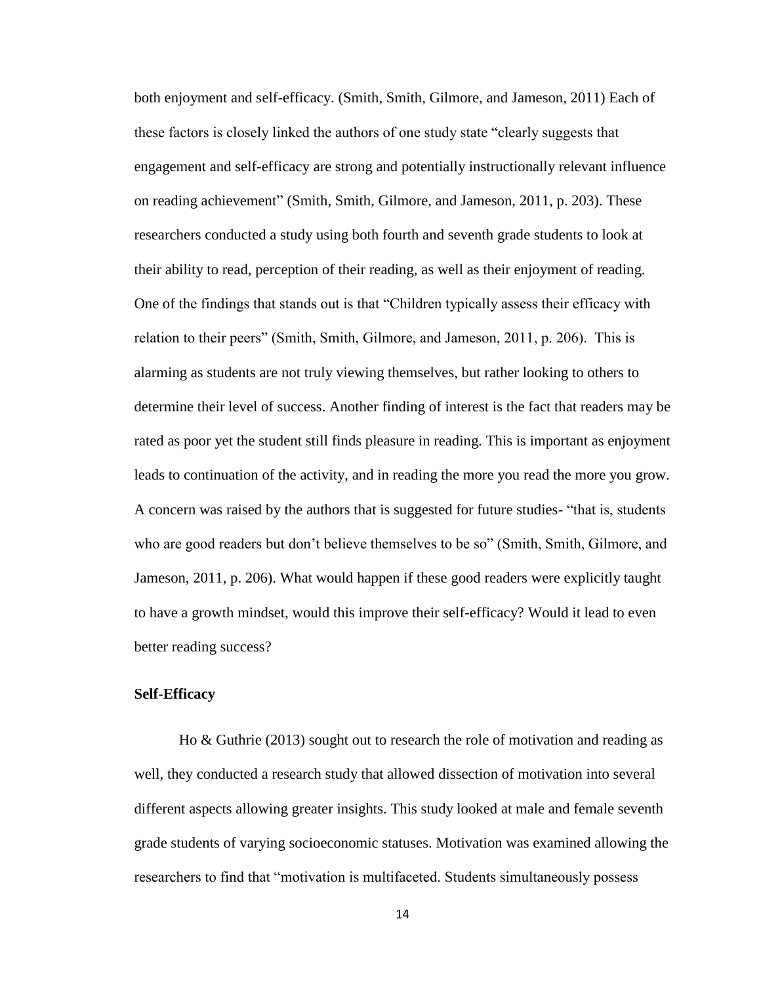both enjoyment and self-efficacy. (Smith, Smith, Gilmore, and Jameson, 2011) Each of these factors is closely linked the authors of one study state "clearly suggests that engagement and self-efficacy are strong and potentially instructionally relevant influence on reading achievement" (Smith, Smith, Gilmore, and Jameson, 2011, p. 203). These researchers conducted a study using both fourth and seventh grade students to look at their ability to read, perception of their reading, as well as their enjoyment of reading. One of the findings that stands out is that "Children typically assess their efficacy with relation to their peers" (Smith, Smith, Gilmore, and Jameson, 2011, p. 206). This is alarming as students are not truly viewing themselves, but rather looking to others to determine their level of success. Another finding of interest is the fact that readers may be rated as poor yet the student still finds pleasure in reading. This is important as enjoyment leads to continuation of the activity, and in reading the more you read the more you grow. A concern was raised by the authors that is suggested for future studies- "that is, students who are good readers but don't believe themselves to be so" (Smith, Smith, Gilmore, and Jameson, 2011, p. 206). What would happen if these good readers were explicitly taught to have a growth mindset, would this improve their self-efficacy? Would it lead to even better reading success?

#### **Self-Efficacy**

Ho & Guthrie (2013) sought out to research the role of motivation and reading as well, they conducted a research study that allowed dissection of motivation into several different aspects allowing greater insights. This study looked at male and female seventh grade students of varying socioeconomic statuses. Motivation was examined allowing the researchers to find that "motivation is multifaceted. Students simultaneously possess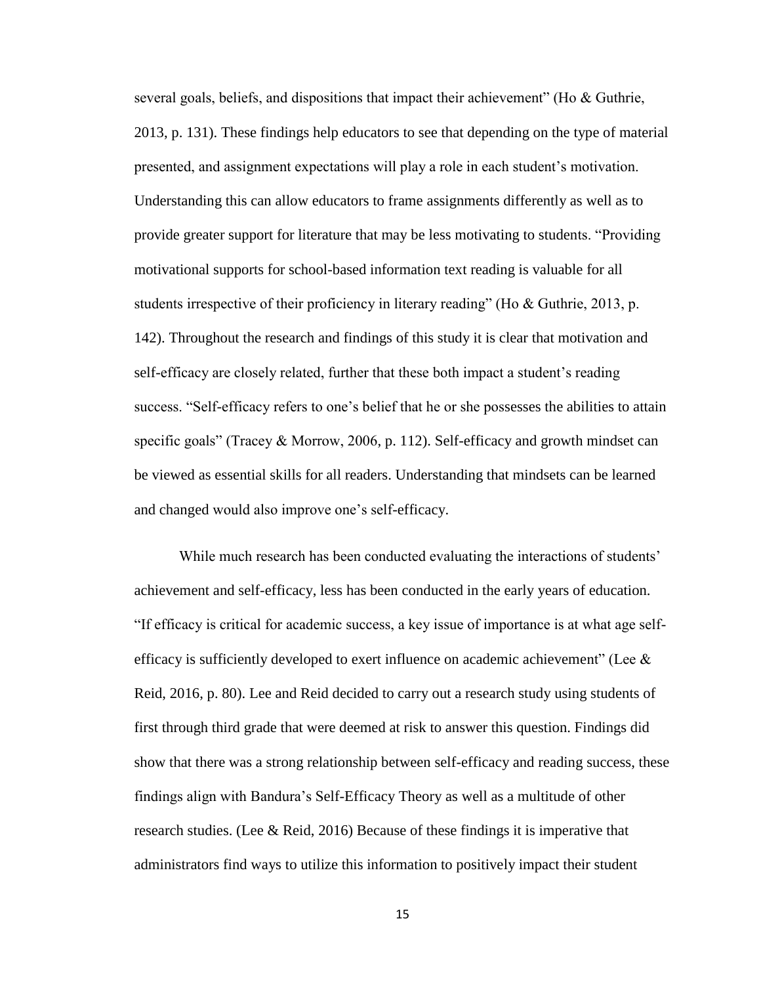several goals, beliefs, and dispositions that impact their achievement" (Ho & Guthrie, 2013, p. 131). These findings help educators to see that depending on the type of material presented, and assignment expectations will play a role in each student's motivation. Understanding this can allow educators to frame assignments differently as well as to provide greater support for literature that may be less motivating to students. "Providing motivational supports for school-based information text reading is valuable for all students irrespective of their proficiency in literary reading" (Ho & Guthrie, 2013, p. 142). Throughout the research and findings of this study it is clear that motivation and self-efficacy are closely related, further that these both impact a student's reading success. "Self-efficacy refers to one's belief that he or she possesses the abilities to attain specific goals" (Tracey & Morrow, 2006, p. 112). Self-efficacy and growth mindset can be viewed as essential skills for all readers. Understanding that mindsets can be learned and changed would also improve one's self-efficacy.

While much research has been conducted evaluating the interactions of students' achievement and self-efficacy, less has been conducted in the early years of education. "If efficacy is critical for academic success, a key issue of importance is at what age selfefficacy is sufficiently developed to exert influence on academic achievement" (Lee  $\&$ Reid, 2016, p. 80). Lee and Reid decided to carry out a research study using students of first through third grade that were deemed at risk to answer this question. Findings did show that there was a strong relationship between self-efficacy and reading success, these findings align with Bandura's Self-Efficacy Theory as well as a multitude of other research studies. (Lee & Reid, 2016) Because of these findings it is imperative that administrators find ways to utilize this information to positively impact their student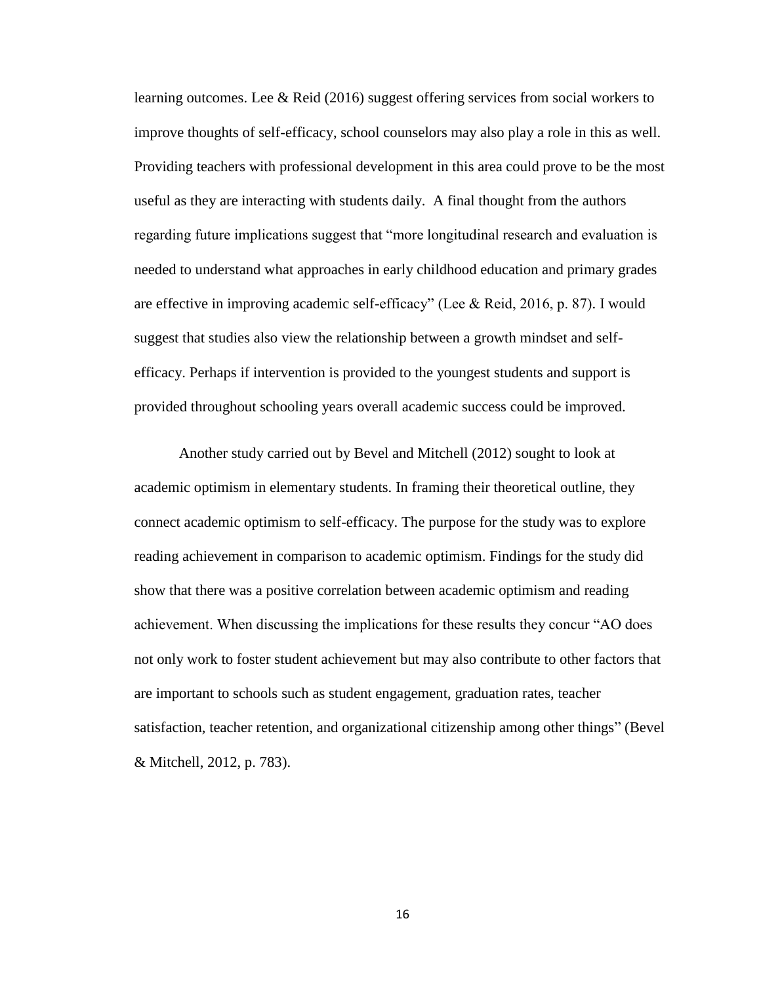learning outcomes. Lee & Reid (2016) suggest offering services from social workers to improve thoughts of self-efficacy, school counselors may also play a role in this as well. Providing teachers with professional development in this area could prove to be the most useful as they are interacting with students daily. A final thought from the authors regarding future implications suggest that "more longitudinal research and evaluation is needed to understand what approaches in early childhood education and primary grades are effective in improving academic self-efficacy" (Lee & Reid, 2016, p. 87). I would suggest that studies also view the relationship between a growth mindset and selfefficacy. Perhaps if intervention is provided to the youngest students and support is provided throughout schooling years overall academic success could be improved.

Another study carried out by Bevel and Mitchell (2012) sought to look at academic optimism in elementary students. In framing their theoretical outline, they connect academic optimism to self-efficacy. The purpose for the study was to explore reading achievement in comparison to academic optimism. Findings for the study did show that there was a positive correlation between academic optimism and reading achievement. When discussing the implications for these results they concur "AO does not only work to foster student achievement but may also contribute to other factors that are important to schools such as student engagement, graduation rates, teacher satisfaction, teacher retention, and organizational citizenship among other things" (Bevel & Mitchell, 2012, p. 783).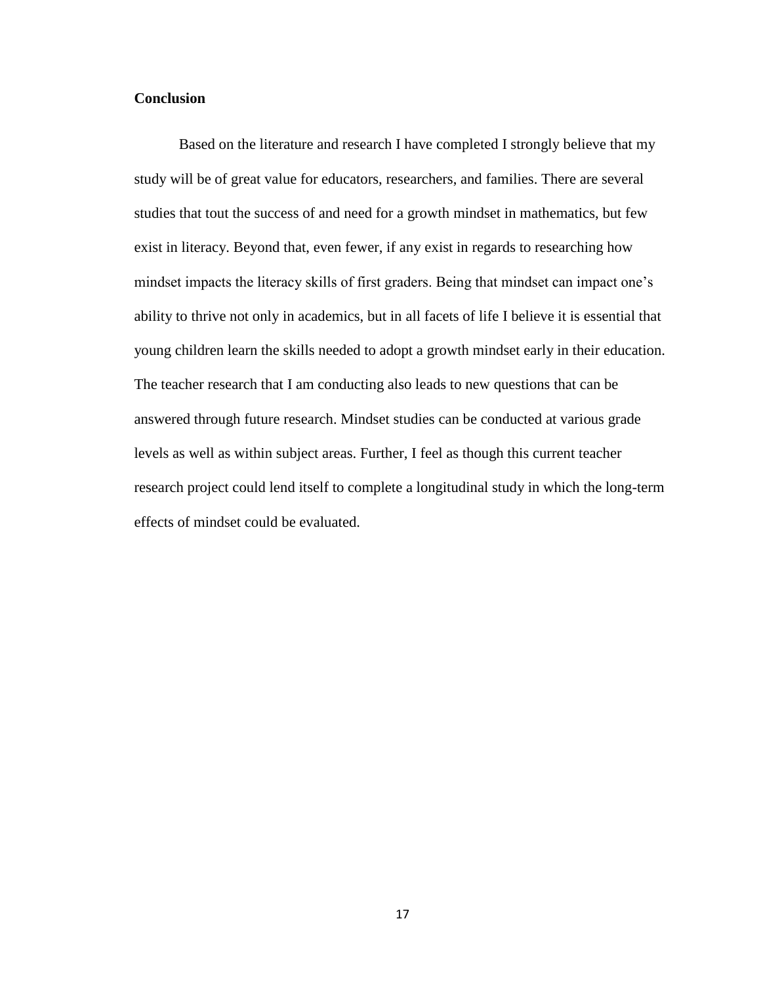# **Conclusion**

Based on the literature and research I have completed I strongly believe that my study will be of great value for educators, researchers, and families. There are several studies that tout the success of and need for a growth mindset in mathematics, but few exist in literacy. Beyond that, even fewer, if any exist in regards to researching how mindset impacts the literacy skills of first graders. Being that mindset can impact one's ability to thrive not only in academics, but in all facets of life I believe it is essential that young children learn the skills needed to adopt a growth mindset early in their education. The teacher research that I am conducting also leads to new questions that can be answered through future research. Mindset studies can be conducted at various grade levels as well as within subject areas. Further, I feel as though this current teacher research project could lend itself to complete a longitudinal study in which the long-term effects of mindset could be evaluated.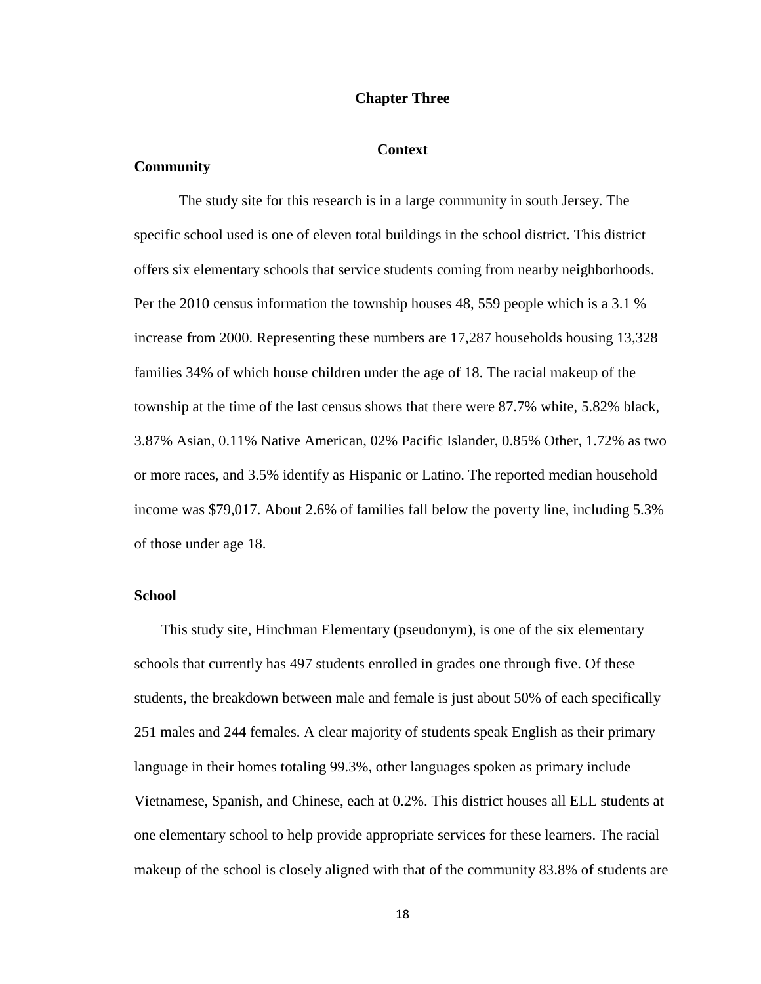#### **Chapter Three**

#### **Context**

#### **Community**

The study site for this research is in a large community in south Jersey. The specific school used is one of eleven total buildings in the school district. This district offers six elementary schools that service students coming from nearby neighborhoods. Per the 2010 census information the township houses 48, 559 people which is a 3.1 % increase from 2000. Representing these numbers are 17,287 households housing 13,328 families 34% of which house children under the age of 18. The racial makeup of the township at the time of the last census shows that there were 87.7% white, 5.82% black, 3.87% Asian, 0.11% Native American, 02% Pacific Islander, 0.85% Other, 1.72% as two or more races, and 3.5% identify as Hispanic or Latino. The reported median household income was \$79,017. About 2.6% of families fall below the poverty line, including 5.3% of those under age 18.

#### **School**

This study site, Hinchman Elementary (pseudonym), is one of the six elementary schools that currently has 497 students enrolled in grades one through five. Of these students, the breakdown between male and female is just about 50% of each specifically 251 males and 244 females. A clear majority of students speak English as their primary language in their homes totaling 99.3%, other languages spoken as primary include Vietnamese, Spanish, and Chinese, each at 0.2%. This district houses all ELL students at one elementary school to help provide appropriate services for these learners. The racial makeup of the school is closely aligned with that of the community 83.8% of students are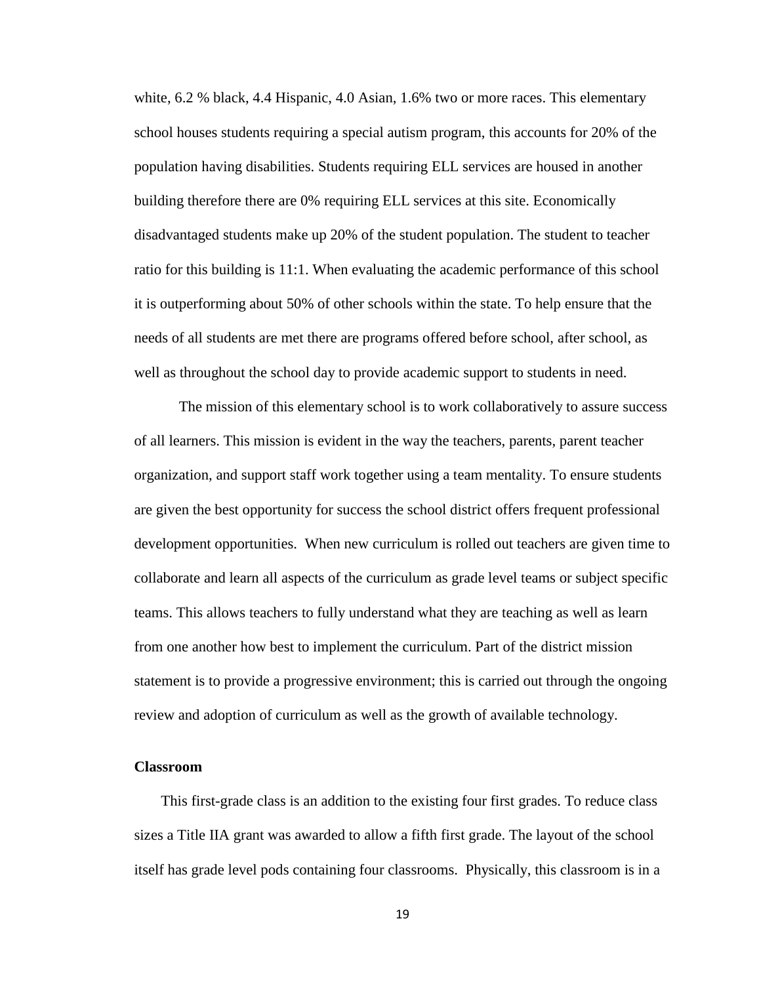white, 6.2 % black, 4.4 Hispanic, 4.0 Asian, 1.6% two or more races. This elementary school houses students requiring a special autism program, this accounts for 20% of the population having disabilities. Students requiring ELL services are housed in another building therefore there are 0% requiring ELL services at this site. Economically disadvantaged students make up 20% of the student population. The student to teacher ratio for this building is 11:1. When evaluating the academic performance of this school it is outperforming about 50% of other schools within the state. To help ensure that the needs of all students are met there are programs offered before school, after school, as well as throughout the school day to provide academic support to students in need.

The mission of this elementary school is to work collaboratively to assure success of all learners. This mission is evident in the way the teachers, parents, parent teacher organization, and support staff work together using a team mentality. To ensure students are given the best opportunity for success the school district offers frequent professional development opportunities. When new curriculum is rolled out teachers are given time to collaborate and learn all aspects of the curriculum as grade level teams or subject specific teams. This allows teachers to fully understand what they are teaching as well as learn from one another how best to implement the curriculum. Part of the district mission statement is to provide a progressive environment; this is carried out through the ongoing review and adoption of curriculum as well as the growth of available technology.

#### **Classroom**

This first-grade class is an addition to the existing four first grades. To reduce class sizes a Title IIA grant was awarded to allow a fifth first grade. The layout of the school itself has grade level pods containing four classrooms. Physically, this classroom is in a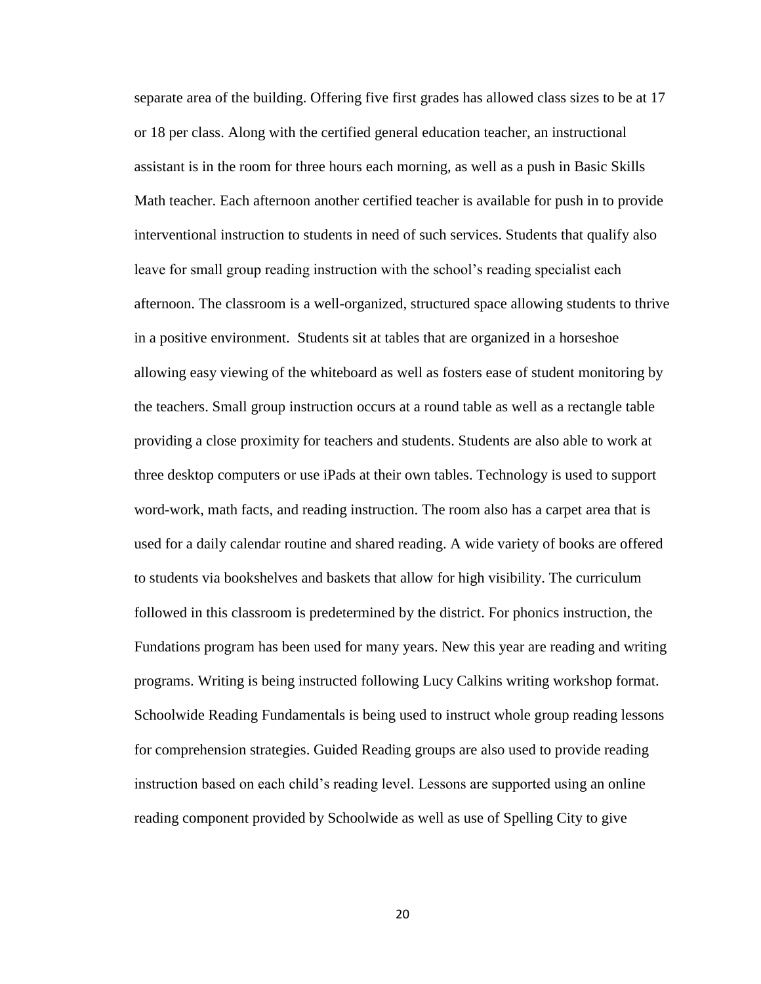separate area of the building. Offering five first grades has allowed class sizes to be at 17 or 18 per class. Along with the certified general education teacher, an instructional assistant is in the room for three hours each morning, as well as a push in Basic Skills Math teacher. Each afternoon another certified teacher is available for push in to provide interventional instruction to students in need of such services. Students that qualify also leave for small group reading instruction with the school's reading specialist each afternoon. The classroom is a well-organized, structured space allowing students to thrive in a positive environment. Students sit at tables that are organized in a horseshoe allowing easy viewing of the whiteboard as well as fosters ease of student monitoring by the teachers. Small group instruction occurs at a round table as well as a rectangle table providing a close proximity for teachers and students. Students are also able to work at three desktop computers or use iPads at their own tables. Technology is used to support word-work, math facts, and reading instruction. The room also has a carpet area that is used for a daily calendar routine and shared reading. A wide variety of books are offered to students via bookshelves and baskets that allow for high visibility. The curriculum followed in this classroom is predetermined by the district. For phonics instruction, the Fundations program has been used for many years. New this year are reading and writing programs. Writing is being instructed following Lucy Calkins writing workshop format. Schoolwide Reading Fundamentals is being used to instruct whole group reading lessons for comprehension strategies. Guided Reading groups are also used to provide reading instruction based on each child's reading level. Lessons are supported using an online reading component provided by Schoolwide as well as use of Spelling City to give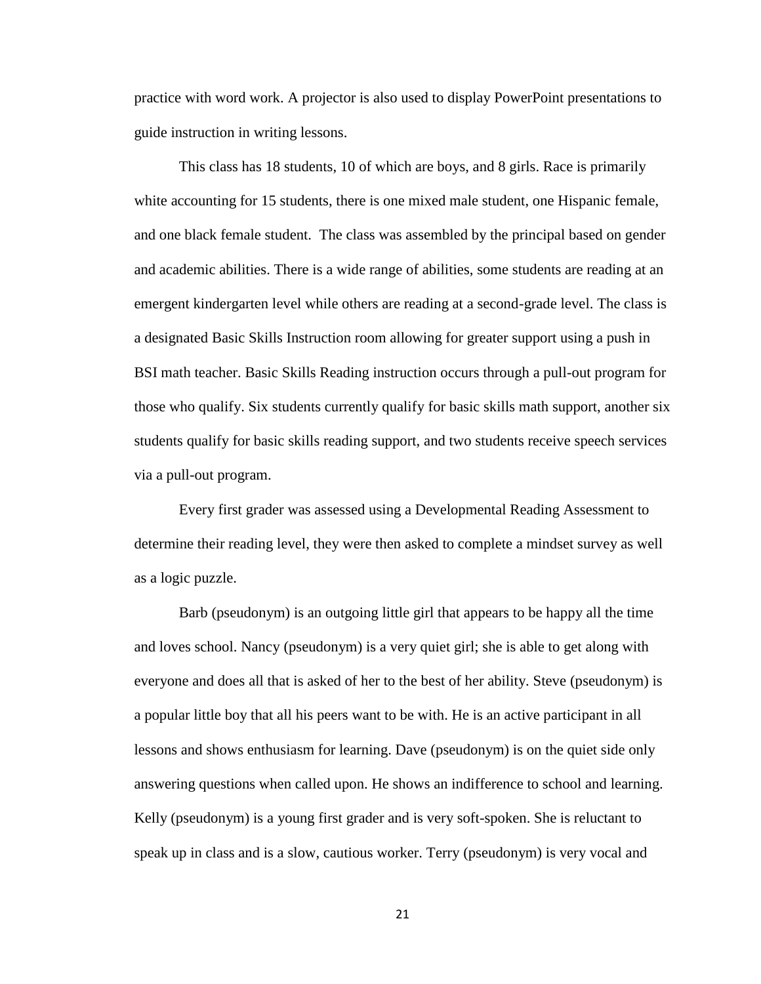practice with word work. A projector is also used to display PowerPoint presentations to guide instruction in writing lessons.

This class has 18 students, 10 of which are boys, and 8 girls. Race is primarily white accounting for 15 students, there is one mixed male student, one Hispanic female, and one black female student. The class was assembled by the principal based on gender and academic abilities. There is a wide range of abilities, some students are reading at an emergent kindergarten level while others are reading at a second-grade level. The class is a designated Basic Skills Instruction room allowing for greater support using a push in BSI math teacher. Basic Skills Reading instruction occurs through a pull-out program for those who qualify. Six students currently qualify for basic skills math support, another six students qualify for basic skills reading support, and two students receive speech services via a pull-out program.

Every first grader was assessed using a Developmental Reading Assessment to determine their reading level, they were then asked to complete a mindset survey as well as a logic puzzle.

Barb (pseudonym) is an outgoing little girl that appears to be happy all the time and loves school. Nancy (pseudonym) is a very quiet girl; she is able to get along with everyone and does all that is asked of her to the best of her ability. Steve (pseudonym) is a popular little boy that all his peers want to be with. He is an active participant in all lessons and shows enthusiasm for learning. Dave (pseudonym) is on the quiet side only answering questions when called upon. He shows an indifference to school and learning. Kelly (pseudonym) is a young first grader and is very soft-spoken. She is reluctant to speak up in class and is a slow, cautious worker. Terry (pseudonym) is very vocal and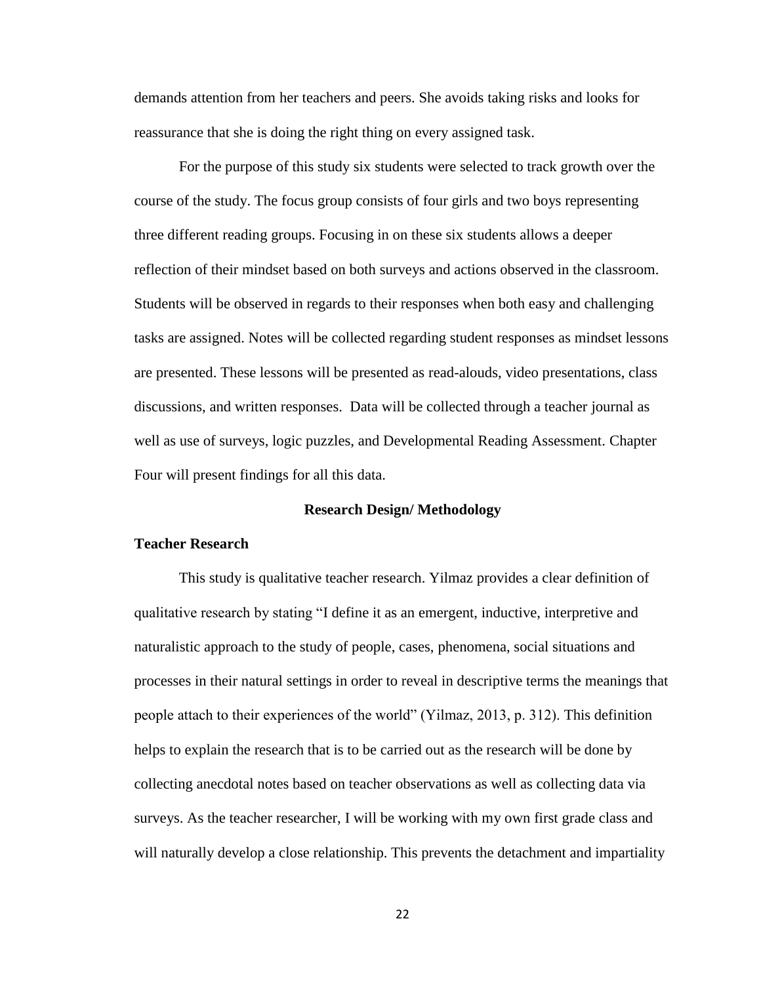demands attention from her teachers and peers. She avoids taking risks and looks for reassurance that she is doing the right thing on every assigned task.

For the purpose of this study six students were selected to track growth over the course of the study. The focus group consists of four girls and two boys representing three different reading groups. Focusing in on these six students allows a deeper reflection of their mindset based on both surveys and actions observed in the classroom. Students will be observed in regards to their responses when both easy and challenging tasks are assigned. Notes will be collected regarding student responses as mindset lessons are presented. These lessons will be presented as read-alouds, video presentations, class discussions, and written responses. Data will be collected through a teacher journal as well as use of surveys, logic puzzles, and Developmental Reading Assessment. Chapter Four will present findings for all this data.

# **Research Design/ Methodology**

#### **Teacher Research**

This study is qualitative teacher research. Yilmaz provides a clear definition of qualitative research by stating "I define it as an emergent, inductive, interpretive and naturalistic approach to the study of people, cases, phenomena, social situations and processes in their natural settings in order to reveal in descriptive terms the meanings that people attach to their experiences of the world" (Yilmaz, 2013, p. 312). This definition helps to explain the research that is to be carried out as the research will be done by collecting anecdotal notes based on teacher observations as well as collecting data via surveys. As the teacher researcher, I will be working with my own first grade class and will naturally develop a close relationship. This prevents the detachment and impartiality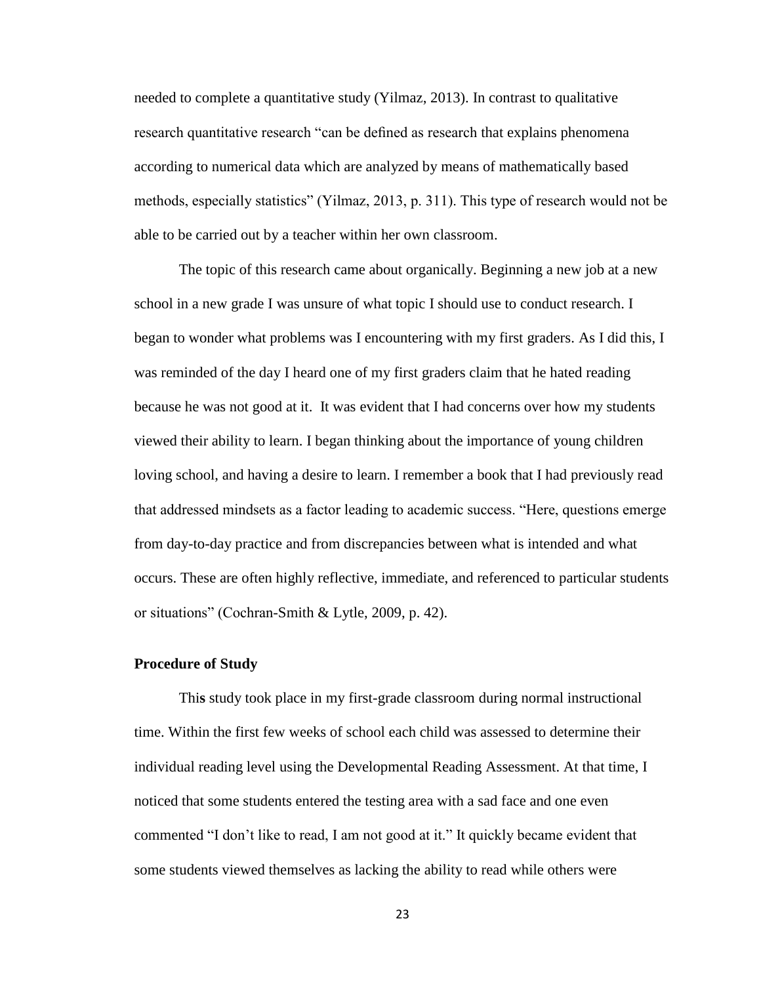needed to complete a quantitative study (Yilmaz, 2013). In contrast to qualitative research quantitative research "can be defined as research that explains phenomena according to numerical data which are analyzed by means of mathematically based methods, especially statistics" (Yilmaz, 2013, p. 311). This type of research would not be able to be carried out by a teacher within her own classroom.

The topic of this research came about organically. Beginning a new job at a new school in a new grade I was unsure of what topic I should use to conduct research. I began to wonder what problems was I encountering with my first graders. As I did this, I was reminded of the day I heard one of my first graders claim that he hated reading because he was not good at it. It was evident that I had concerns over how my students viewed their ability to learn. I began thinking about the importance of young children loving school, and having a desire to learn. I remember a book that I had previously read that addressed mindsets as a factor leading to academic success. "Here, questions emerge from day-to-day practice and from discrepancies between what is intended and what occurs. These are often highly reflective, immediate, and referenced to particular students or situations" (Cochran-Smith & Lytle, 2009, p. 42).

# **Procedure of Study**

Thi**s** study took place in my first-grade classroom during normal instructional time. Within the first few weeks of school each child was assessed to determine their individual reading level using the Developmental Reading Assessment. At that time, I noticed that some students entered the testing area with a sad face and one even commented "I don't like to read, I am not good at it." It quickly became evident that some students viewed themselves as lacking the ability to read while others were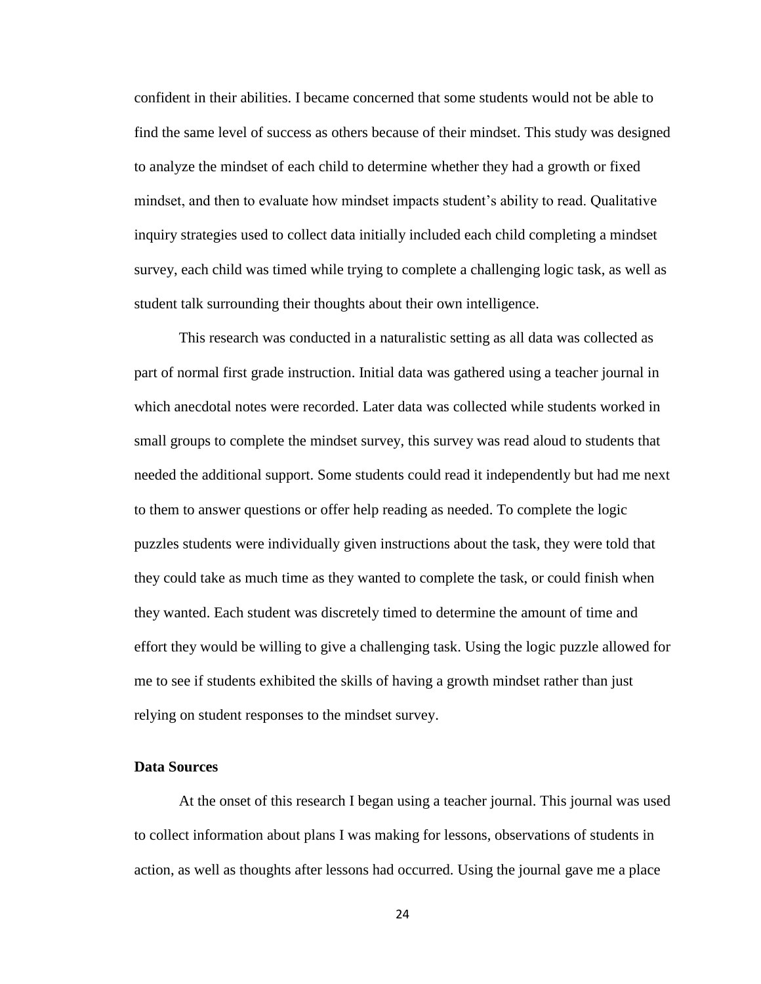confident in their abilities. I became concerned that some students would not be able to find the same level of success as others because of their mindset. This study was designed to analyze the mindset of each child to determine whether they had a growth or fixed mindset, and then to evaluate how mindset impacts student's ability to read. Qualitative inquiry strategies used to collect data initially included each child completing a mindset survey, each child was timed while trying to complete a challenging logic task, as well as student talk surrounding their thoughts about their own intelligence.

This research was conducted in a naturalistic setting as all data was collected as part of normal first grade instruction. Initial data was gathered using a teacher journal in which anecdotal notes were recorded. Later data was collected while students worked in small groups to complete the mindset survey, this survey was read aloud to students that needed the additional support. Some students could read it independently but had me next to them to answer questions or offer help reading as needed. To complete the logic puzzles students were individually given instructions about the task, they were told that they could take as much time as they wanted to complete the task, or could finish when they wanted. Each student was discretely timed to determine the amount of time and effort they would be willing to give a challenging task. Using the logic puzzle allowed for me to see if students exhibited the skills of having a growth mindset rather than just relying on student responses to the mindset survey.

# **Data Sources**

At the onset of this research I began using a teacher journal. This journal was used to collect information about plans I was making for lessons, observations of students in action, as well as thoughts after lessons had occurred. Using the journal gave me a place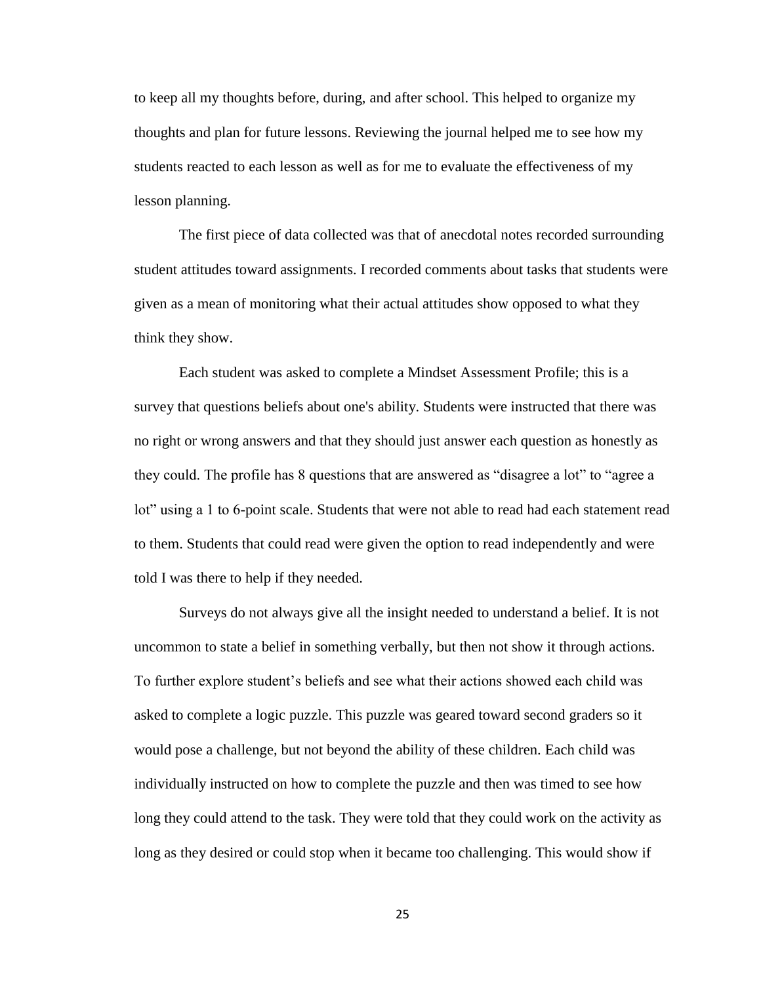to keep all my thoughts before, during, and after school. This helped to organize my thoughts and plan for future lessons. Reviewing the journal helped me to see how my students reacted to each lesson as well as for me to evaluate the effectiveness of my lesson planning.

The first piece of data collected was that of anecdotal notes recorded surrounding student attitudes toward assignments. I recorded comments about tasks that students were given as a mean of monitoring what their actual attitudes show opposed to what they think they show.

Each student was asked to complete a Mindset Assessment Profile; this is a survey that questions beliefs about one's ability. Students were instructed that there was no right or wrong answers and that they should just answer each question as honestly as they could. The profile has 8 questions that are answered as "disagree a lot" to "agree a lot" using a 1 to 6-point scale. Students that were not able to read had each statement read to them. Students that could read were given the option to read independently and were told I was there to help if they needed.

Surveys do not always give all the insight needed to understand a belief. It is not uncommon to state a belief in something verbally, but then not show it through actions. To further explore student's beliefs and see what their actions showed each child was asked to complete a logic puzzle. This puzzle was geared toward second graders so it would pose a challenge, but not beyond the ability of these children. Each child was individually instructed on how to complete the puzzle and then was timed to see how long they could attend to the task. They were told that they could work on the activity as long as they desired or could stop when it became too challenging. This would show if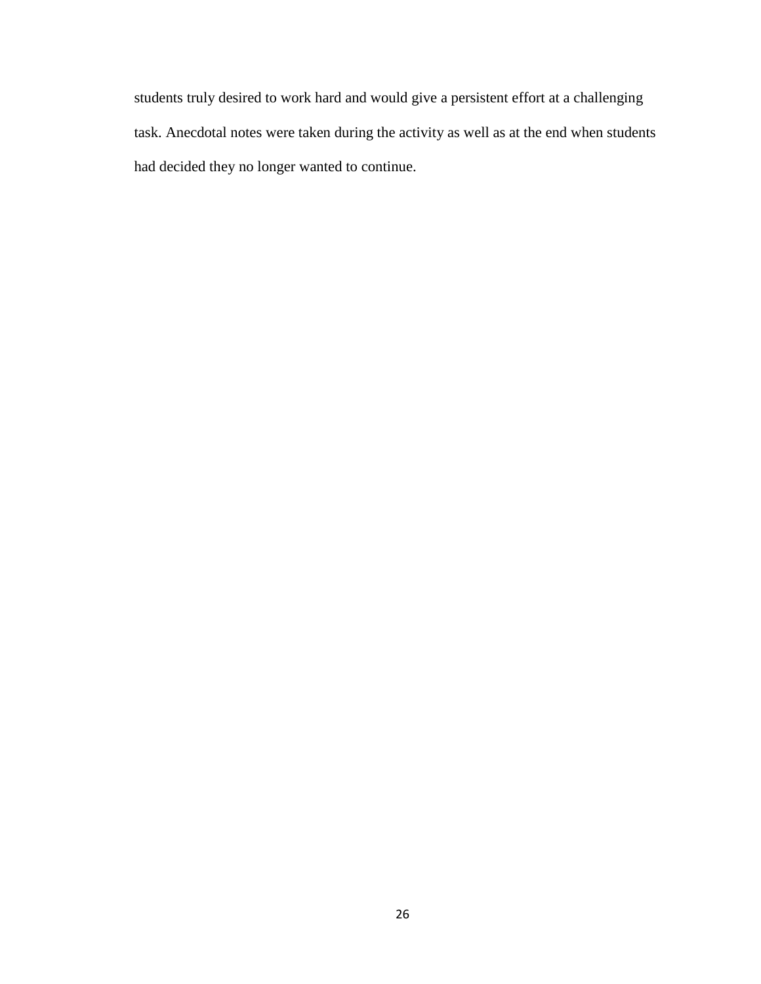students truly desired to work hard and would give a persistent effort at a challenging task. Anecdotal notes were taken during the activity as well as at the end when students had decided they no longer wanted to continue.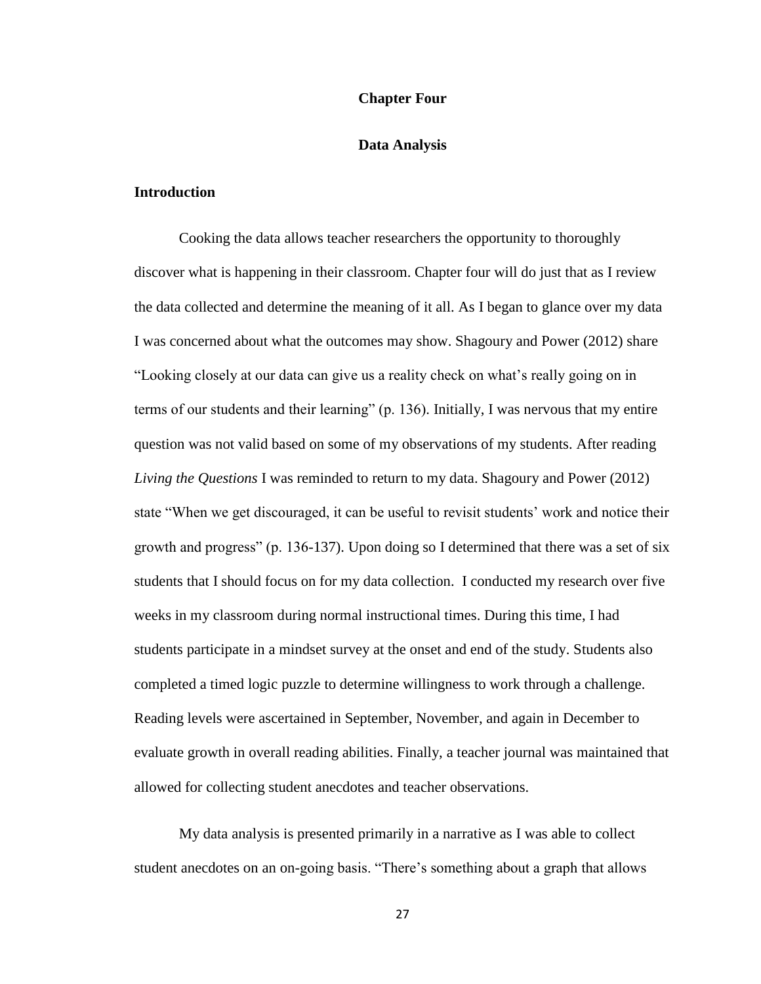#### **Chapter Four**

## **Data Analysis**

## **Introduction**

Cooking the data allows teacher researchers the opportunity to thoroughly discover what is happening in their classroom. Chapter four will do just that as I review the data collected and determine the meaning of it all. As I began to glance over my data I was concerned about what the outcomes may show. Shagoury and Power (2012) share "Looking closely at our data can give us a reality check on what's really going on in terms of our students and their learning" (p. 136). Initially, I was nervous that my entire question was not valid based on some of my observations of my students. After reading *Living the Questions* I was reminded to return to my data. Shagoury and Power (2012) state "When we get discouraged, it can be useful to revisit students' work and notice their growth and progress" (p. 136-137). Upon doing so I determined that there was a set of six students that I should focus on for my data collection. I conducted my research over five weeks in my classroom during normal instructional times. During this time, I had students participate in a mindset survey at the onset and end of the study. Students also completed a timed logic puzzle to determine willingness to work through a challenge. Reading levels were ascertained in September, November, and again in December to evaluate growth in overall reading abilities. Finally, a teacher journal was maintained that allowed for collecting student anecdotes and teacher observations.

My data analysis is presented primarily in a narrative as I was able to collect student anecdotes on an on-going basis. "There's something about a graph that allows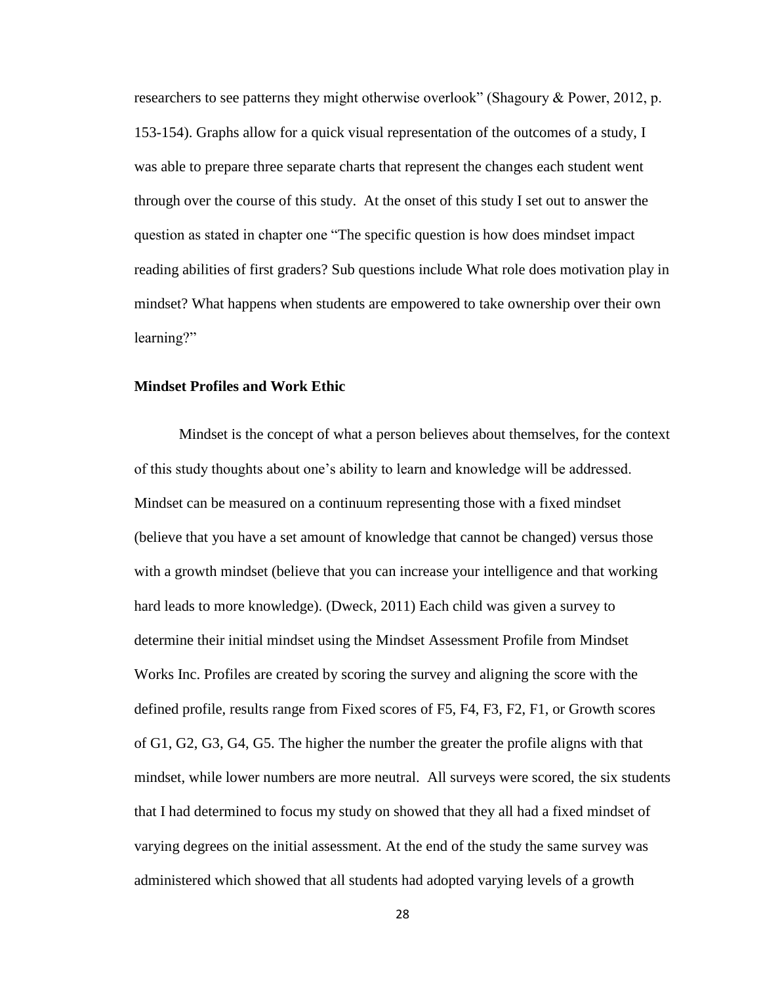researchers to see patterns they might otherwise overlook" (Shagoury & Power, 2012, p. 153-154). Graphs allow for a quick visual representation of the outcomes of a study, I was able to prepare three separate charts that represent the changes each student went through over the course of this study. At the onset of this study I set out to answer the question as stated in chapter one "The specific question is how does mindset impact reading abilities of first graders? Sub questions include What role does motivation play in mindset? What happens when students are empowered to take ownership over their own learning?"

#### **Mindset Profiles and Work Ethic**

Mindset is the concept of what a person believes about themselves, for the context of this study thoughts about one's ability to learn and knowledge will be addressed. Mindset can be measured on a continuum representing those with a fixed mindset (believe that you have a set amount of knowledge that cannot be changed) versus those with a growth mindset (believe that you can increase your intelligence and that working hard leads to more knowledge). (Dweck, 2011) Each child was given a survey to determine their initial mindset using the Mindset Assessment Profile from Mindset Works Inc. Profiles are created by scoring the survey and aligning the score with the defined profile, results range from Fixed scores of F5, F4, F3, F2, F1, or Growth scores of G1, G2, G3, G4, G5. The higher the number the greater the profile aligns with that mindset, while lower numbers are more neutral. All surveys were scored, the six students that I had determined to focus my study on showed that they all had a fixed mindset of varying degrees on the initial assessment. At the end of the study the same survey was administered which showed that all students had adopted varying levels of a growth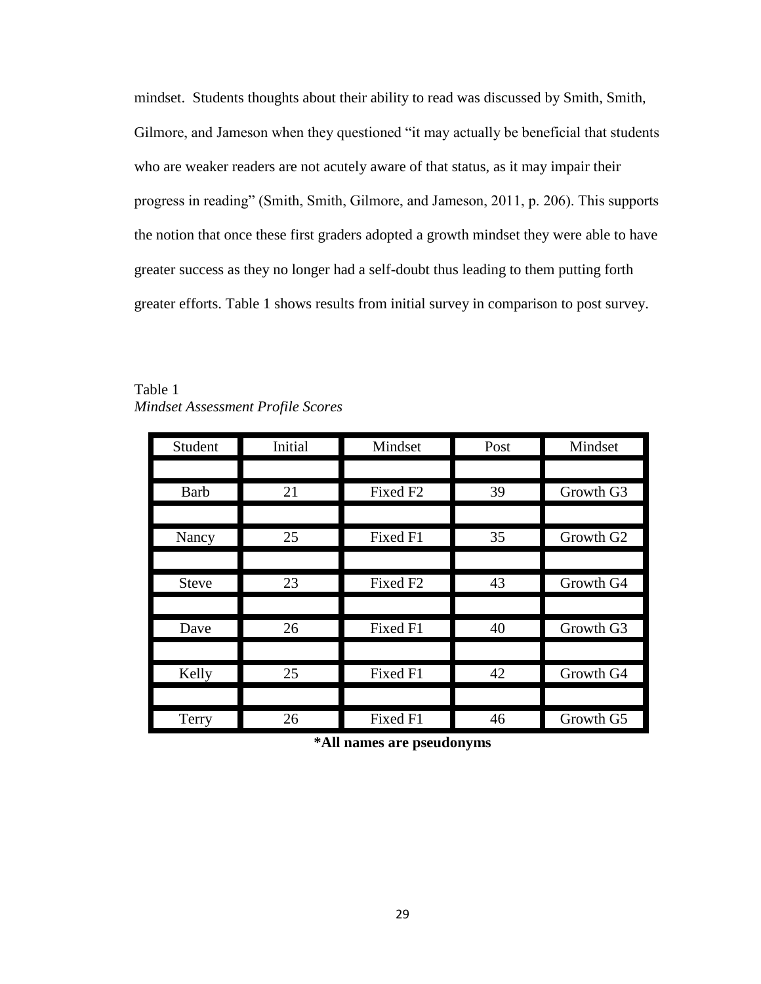mindset. Students thoughts about their ability to read was discussed by Smith, Smith, Gilmore, and Jameson when they questioned "it may actually be beneficial that students who are weaker readers are not acutely aware of that status, as it may impair their progress in reading" (Smith, Smith, Gilmore, and Jameson, 2011, p. 206). This supports the notion that once these first graders adopted a growth mindset they were able to have greater success as they no longer had a self-doubt thus leading to them putting forth greater efforts. Table 1 shows results from initial survey in comparison to post survey.

| I,<br>Student | Initial | Mindset              | Post | Mindset               |
|---------------|---------|----------------------|------|-----------------------|
|               |         |                      |      |                       |
| <b>Barb</b>   | 21      | Fixed F <sub>2</sub> | 39   | Growth G3             |
|               |         |                      |      |                       |
| Nancy         | 25      | Fixed F1             | 35   | Growth G <sub>2</sub> |
|               |         |                      |      |                       |
| <b>Steve</b>  | 23      | Fixed F <sub>2</sub> | 43   | Growth G4             |
|               |         |                      |      |                       |
| Dave          | 26      | Fixed F1             | 40   | Growth G3             |
|               |         |                      |      |                       |
| Kelly         | 25      | Fixed F1             | 42   | Growth G4             |
|               |         |                      |      |                       |
| Terry         | 26      | Fixed F1             | 46   | Growth G5             |

Table 1 *Mindset Assessment Profile Scores*

**\*All names are pseudonyms**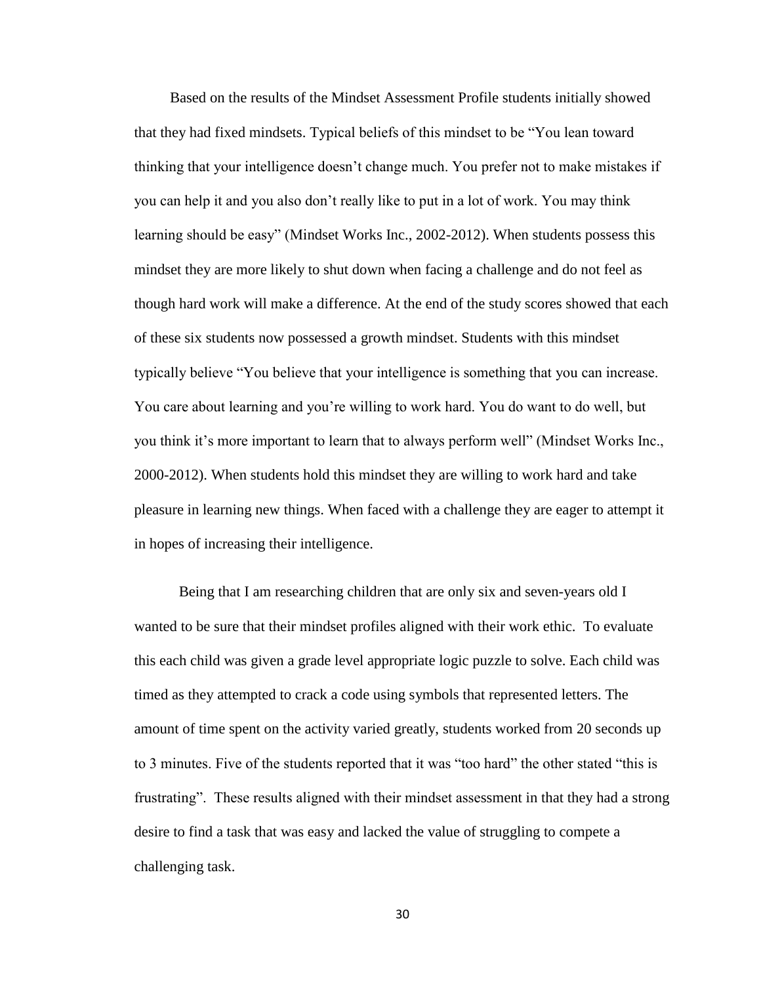Based on the results of the Mindset Assessment Profile students initially showed that they had fixed mindsets. Typical beliefs of this mindset to be "You lean toward thinking that your intelligence doesn't change much. You prefer not to make mistakes if you can help it and you also don't really like to put in a lot of work. You may think learning should be easy" (Mindset Works Inc., 2002-2012). When students possess this mindset they are more likely to shut down when facing a challenge and do not feel as though hard work will make a difference. At the end of the study scores showed that each of these six students now possessed a growth mindset. Students with this mindset typically believe "You believe that your intelligence is something that you can increase. You care about learning and you're willing to work hard. You do want to do well, but you think it's more important to learn that to always perform well" (Mindset Works Inc., 2000-2012). When students hold this mindset they are willing to work hard and take pleasure in learning new things. When faced with a challenge they are eager to attempt it in hopes of increasing their intelligence.

Being that I am researching children that are only six and seven-years old I wanted to be sure that their mindset profiles aligned with their work ethic. To evaluate this each child was given a grade level appropriate logic puzzle to solve. Each child was timed as they attempted to crack a code using symbols that represented letters. The amount of time spent on the activity varied greatly, students worked from 20 seconds up to 3 minutes. Five of the students reported that it was "too hard" the other stated "this is frustrating". These results aligned with their mindset assessment in that they had a strong desire to find a task that was easy and lacked the value of struggling to compete a challenging task.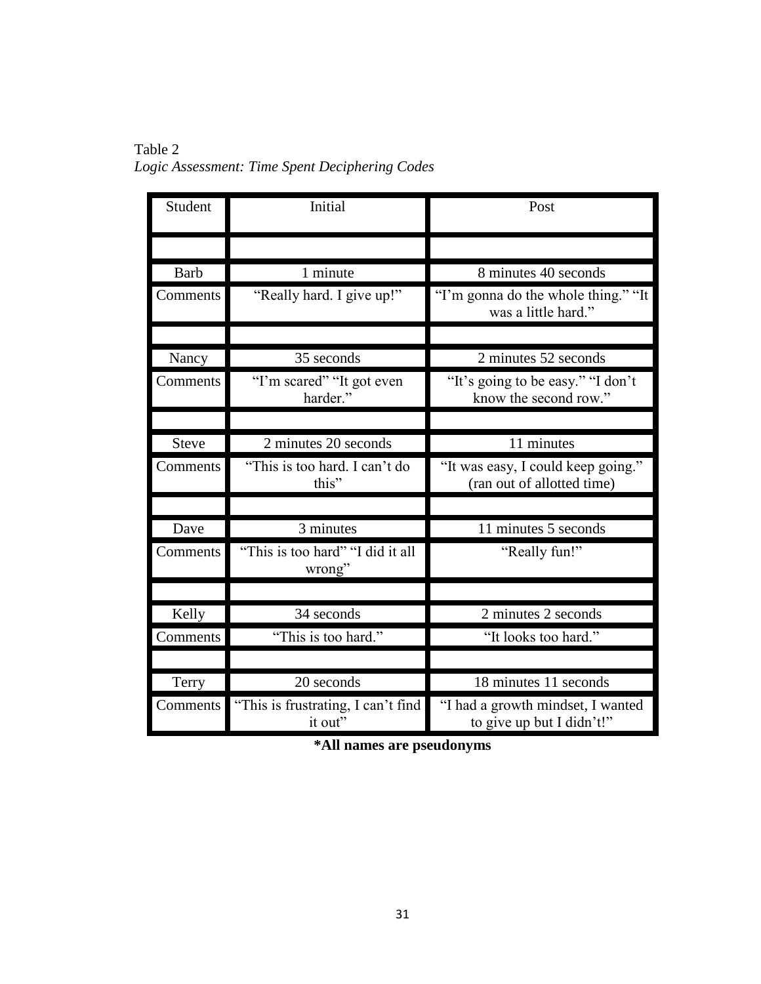Table 2 *Logic Assessment: Time Spent Deciphering Codes* 

| Student      | Initial                                       | Post                                                             |  |
|--------------|-----------------------------------------------|------------------------------------------------------------------|--|
|              |                                               |                                                                  |  |
| <b>Barb</b>  | 1 minute                                      | 8 minutes 40 seconds                                             |  |
| Comments     | "Really hard. I give up!"                     | "I'm gonna do the whole thing." "It<br>was a little hard."       |  |
|              |                                               |                                                                  |  |
| Nancy        | 35 seconds                                    | 2 minutes 52 seconds                                             |  |
| Comments     | "I'm scared" "It got even<br>harder."         | "It's going to be easy." "I don't<br>know the second row."       |  |
|              |                                               |                                                                  |  |
| <b>Steve</b> | 2 minutes 20 seconds                          | 11 minutes                                                       |  |
| Comments     | "This is too hard. I can't do<br>this"        | "It was easy, I could keep going."<br>(ran out of allotted time) |  |
|              |                                               |                                                                  |  |
| Dave         | 3 minutes                                     | 11 minutes 5 seconds                                             |  |
| Comments     | "This is too hard" "I did it all<br>wrong"    | "Really fun!"                                                    |  |
|              |                                               |                                                                  |  |
| Kelly        | 34 seconds                                    | 2 minutes 2 seconds                                              |  |
| Comments     | "This is too hard."                           | "It looks too hard."                                             |  |
|              |                                               |                                                                  |  |
| Terry        | 20 seconds                                    | 18 minutes 11 seconds                                            |  |
| Comments     | "This is frustrating, I can't find<br>it out" | "I had a growth mindset, I wanted<br>to give up but I didn't!"   |  |

**\*All names are pseudonyms**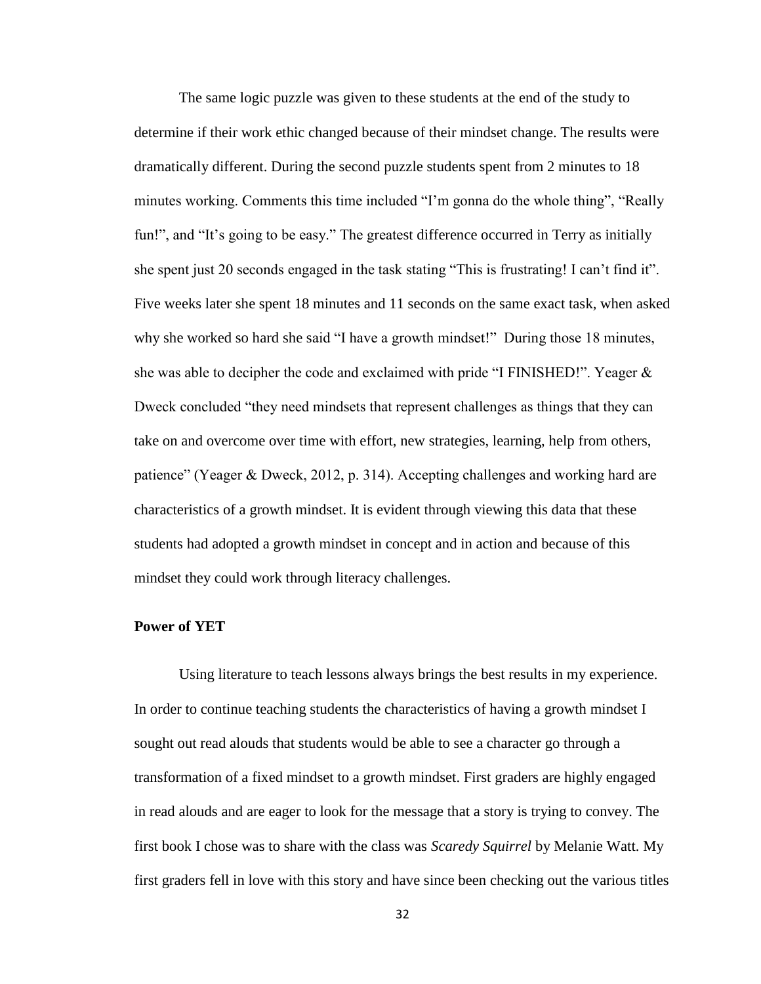The same logic puzzle was given to these students at the end of the study to determine if their work ethic changed because of their mindset change. The results were dramatically different. During the second puzzle students spent from 2 minutes to 18 minutes working. Comments this time included "I'm gonna do the whole thing", "Really fun!", and "It's going to be easy." The greatest difference occurred in Terry as initially she spent just 20 seconds engaged in the task stating "This is frustrating! I can't find it". Five weeks later she spent 18 minutes and 11 seconds on the same exact task, when asked why she worked so hard she said "I have a growth mindset!" During those 18 minutes, she was able to decipher the code and exclaimed with pride "I FINISHED!". Yeager  $\&$ Dweck concluded "they need mindsets that represent challenges as things that they can take on and overcome over time with effort, new strategies, learning, help from others, patience" (Yeager & Dweck, 2012, p. 314). Accepting challenges and working hard are characteristics of a growth mindset. It is evident through viewing this data that these students had adopted a growth mindset in concept and in action and because of this mindset they could work through literacy challenges.

#### **Power of YET**

Using literature to teach lessons always brings the best results in my experience. In order to continue teaching students the characteristics of having a growth mindset I sought out read alouds that students would be able to see a character go through a transformation of a fixed mindset to a growth mindset. First graders are highly engaged in read alouds and are eager to look for the message that a story is trying to convey. The first book I chose was to share with the class was *Scaredy Squirrel* by Melanie Watt. My first graders fell in love with this story and have since been checking out the various titles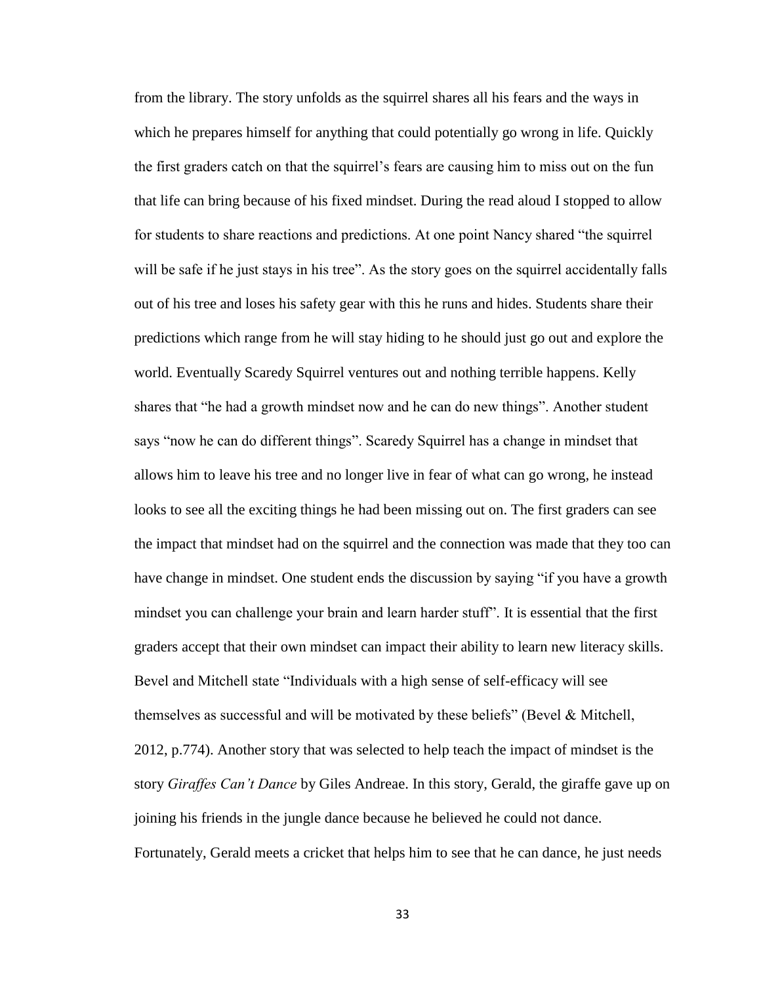from the library. The story unfolds as the squirrel shares all his fears and the ways in which he prepares himself for anything that could potentially go wrong in life. Quickly the first graders catch on that the squirrel's fears are causing him to miss out on the fun that life can bring because of his fixed mindset. During the read aloud I stopped to allow for students to share reactions and predictions. At one point Nancy shared "the squirrel will be safe if he just stays in his tree". As the story goes on the squirrel accidentally falls out of his tree and loses his safety gear with this he runs and hides. Students share their predictions which range from he will stay hiding to he should just go out and explore the world. Eventually Scaredy Squirrel ventures out and nothing terrible happens. Kelly shares that "he had a growth mindset now and he can do new things". Another student says "now he can do different things". Scaredy Squirrel has a change in mindset that allows him to leave his tree and no longer live in fear of what can go wrong, he instead looks to see all the exciting things he had been missing out on. The first graders can see the impact that mindset had on the squirrel and the connection was made that they too can have change in mindset. One student ends the discussion by saying "if you have a growth mindset you can challenge your brain and learn harder stuff". It is essential that the first graders accept that their own mindset can impact their ability to learn new literacy skills. Bevel and Mitchell state "Individuals with a high sense of self-efficacy will see themselves as successful and will be motivated by these beliefs" (Bevel  $\&$  Mitchell, 2012, p.774). Another story that was selected to help teach the impact of mindset is the story *Giraffes Can't Dance* by Giles Andreae. In this story, Gerald, the giraffe gave up on joining his friends in the jungle dance because he believed he could not dance. Fortunately, Gerald meets a cricket that helps him to see that he can dance, he just needs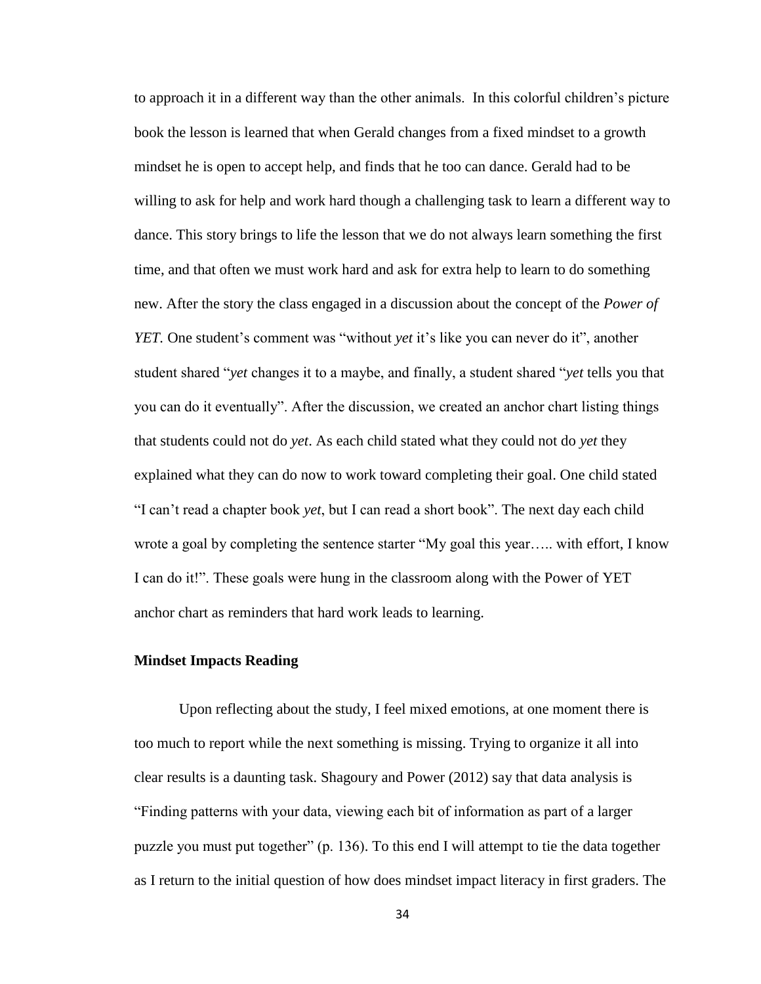to approach it in a different way than the other animals. In this colorful children's picture book the lesson is learned that when Gerald changes from a fixed mindset to a growth mindset he is open to accept help, and finds that he too can dance. Gerald had to be willing to ask for help and work hard though a challenging task to learn a different way to dance. This story brings to life the lesson that we do not always learn something the first time, and that often we must work hard and ask for extra help to learn to do something new. After the story the class engaged in a discussion about the concept of the *Power of YET*. One student's comment was "without *yet* it's like you can never do it", another student shared "*yet* changes it to a maybe, and finally, a student shared "*yet* tells you that you can do it eventually". After the discussion, we created an anchor chart listing things that students could not do *yet*. As each child stated what they could not do *yet* they explained what they can do now to work toward completing their goal. One child stated "I can't read a chapter book *yet*, but I can read a short book". The next day each child wrote a goal by completing the sentence starter "My goal this year….. with effort, I know I can do it!". These goals were hung in the classroom along with the Power of YET anchor chart as reminders that hard work leads to learning.

## **Mindset Impacts Reading**

Upon reflecting about the study, I feel mixed emotions, at one moment there is too much to report while the next something is missing. Trying to organize it all into clear results is a daunting task. Shagoury and Power (2012) say that data analysis is "Finding patterns with your data, viewing each bit of information as part of a larger puzzle you must put together" (p. 136). To this end I will attempt to tie the data together as I return to the initial question of how does mindset impact literacy in first graders. The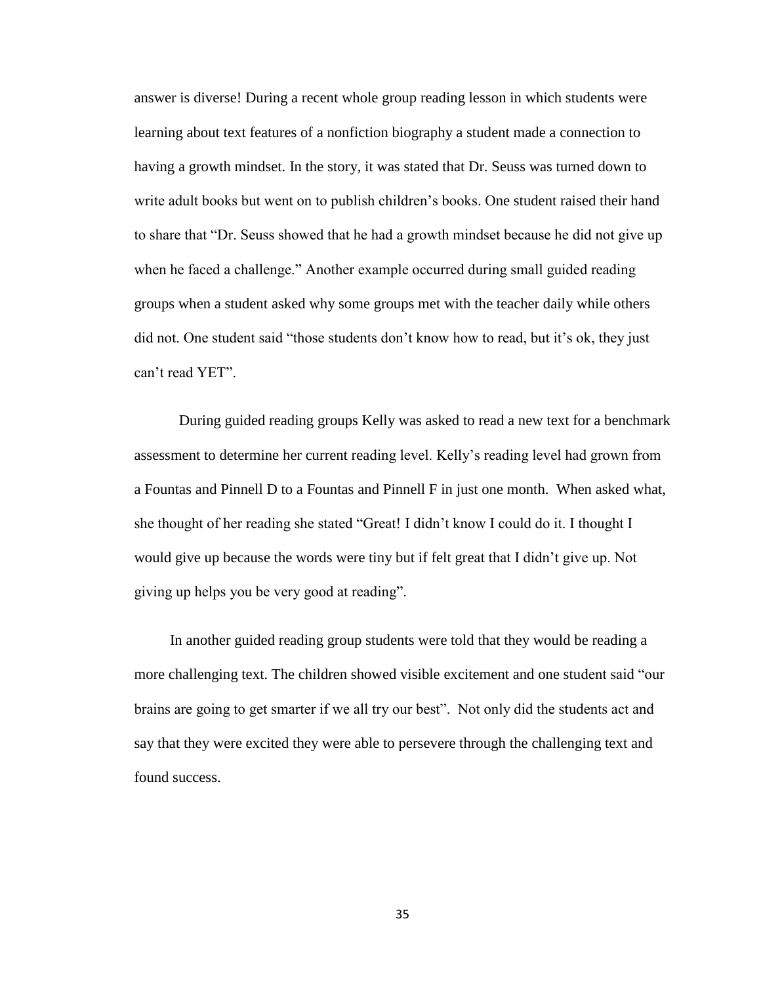answer is diverse! During a recent whole group reading lesson in which students were learning about text features of a nonfiction biography a student made a connection to having a growth mindset. In the story, it was stated that Dr. Seuss was turned down to write adult books but went on to publish children's books. One student raised their hand to share that "Dr. Seuss showed that he had a growth mindset because he did not give up when he faced a challenge." Another example occurred during small guided reading groups when a student asked why some groups met with the teacher daily while others did not. One student said "those students don't know how to read, but it's ok, they just can't read YET".

During guided reading groups Kelly was asked to read a new text for a benchmark assessment to determine her current reading level. Kelly's reading level had grown from a Fountas and Pinnell D to a Fountas and Pinnell F in just one month. When asked what, she thought of her reading she stated "Great! I didn't know I could do it. I thought I would give up because the words were tiny but if felt great that I didn't give up. Not giving up helps you be very good at reading".

In another guided reading group students were told that they would be reading a more challenging text. The children showed visible excitement and one student said "our brains are going to get smarter if we all try our best". Not only did the students act and say that they were excited they were able to persevere through the challenging text and found success.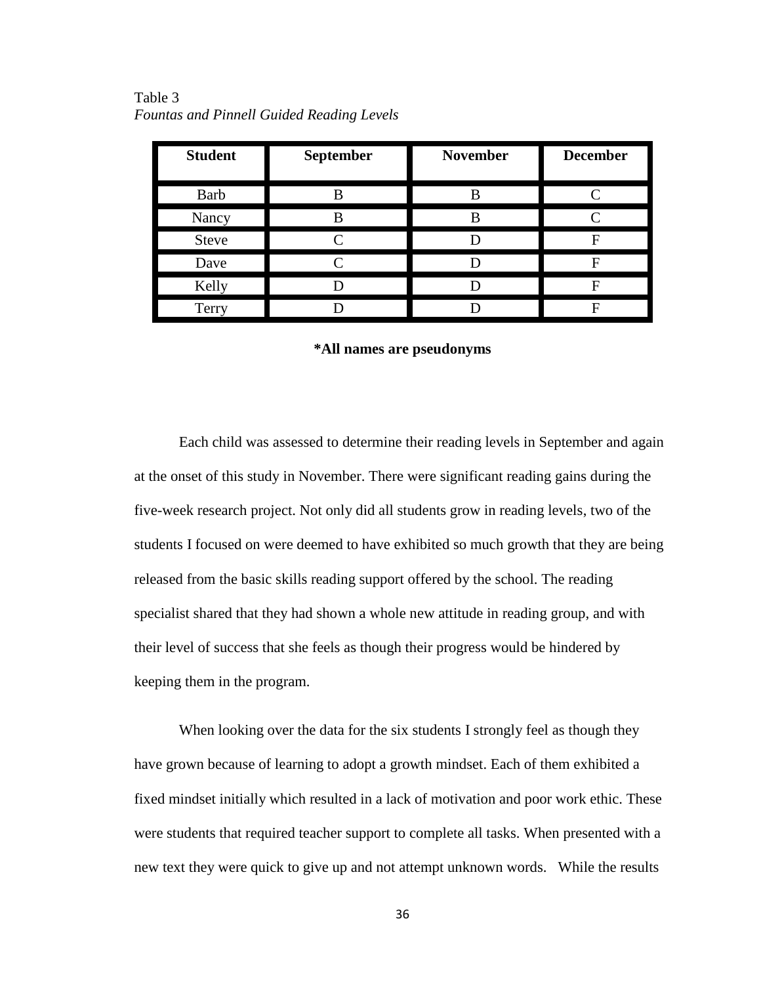| <b>Student</b> | September | <b>November</b> | <b>December</b> |
|----------------|-----------|-----------------|-----------------|
| Barb           |           | В               |                 |
| Nancy          |           | B               |                 |
| <b>Steve</b>   |           |                 |                 |
| Dave           |           |                 | F               |
| Kelly          |           |                 | F               |
| Terry          |           |                 |                 |

Table 3 *Fountas and Pinnell Guided Reading Levels*

#### **\*All names are pseudonyms**

Each child was assessed to determine their reading levels in September and again at the onset of this study in November. There were significant reading gains during the five-week research project. Not only did all students grow in reading levels, two of the students I focused on were deemed to have exhibited so much growth that they are being released from the basic skills reading support offered by the school. The reading specialist shared that they had shown a whole new attitude in reading group, and with their level of success that she feels as though their progress would be hindered by keeping them in the program.

When looking over the data for the six students I strongly feel as though they have grown because of learning to adopt a growth mindset. Each of them exhibited a fixed mindset initially which resulted in a lack of motivation and poor work ethic. These were students that required teacher support to complete all tasks. When presented with a new text they were quick to give up and not attempt unknown words. While the results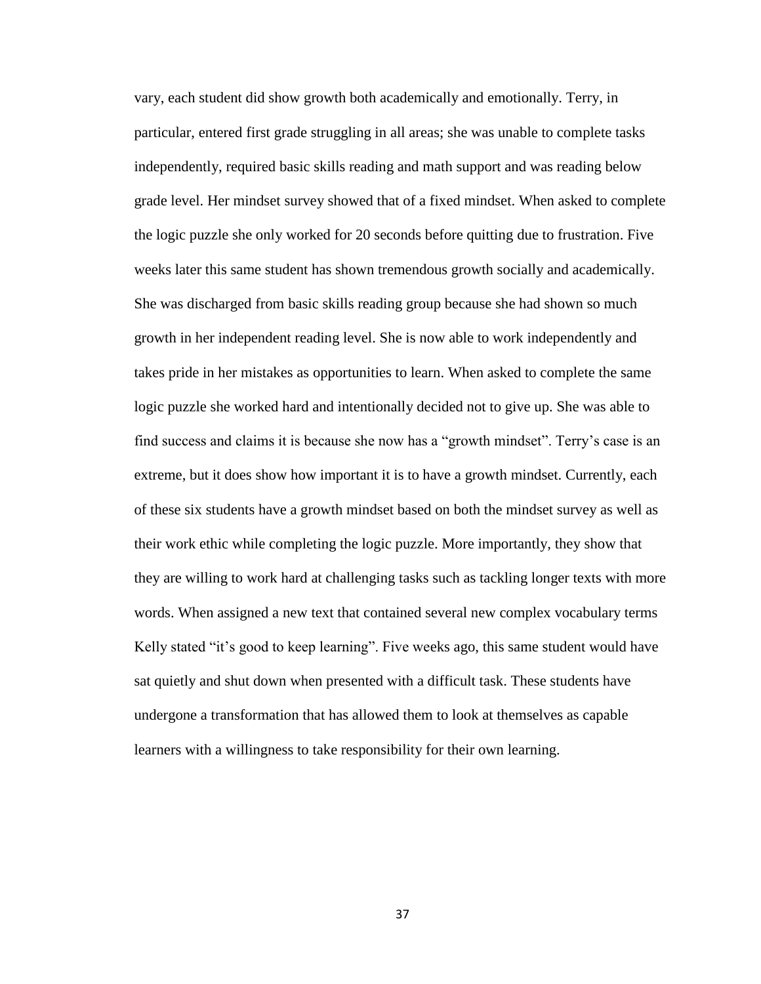vary, each student did show growth both academically and emotionally. Terry, in particular, entered first grade struggling in all areas; she was unable to complete tasks independently, required basic skills reading and math support and was reading below grade level. Her mindset survey showed that of a fixed mindset. When asked to complete the logic puzzle she only worked for 20 seconds before quitting due to frustration. Five weeks later this same student has shown tremendous growth socially and academically. She was discharged from basic skills reading group because she had shown so much growth in her independent reading level. She is now able to work independently and takes pride in her mistakes as opportunities to learn. When asked to complete the same logic puzzle she worked hard and intentionally decided not to give up. She was able to find success and claims it is because she now has a "growth mindset". Terry's case is an extreme, but it does show how important it is to have a growth mindset. Currently, each of these six students have a growth mindset based on both the mindset survey as well as their work ethic while completing the logic puzzle. More importantly, they show that they are willing to work hard at challenging tasks such as tackling longer texts with more words. When assigned a new text that contained several new complex vocabulary terms Kelly stated "it's good to keep learning". Five weeks ago, this same student would have sat quietly and shut down when presented with a difficult task. These students have undergone a transformation that has allowed them to look at themselves as capable learners with a willingness to take responsibility for their own learning.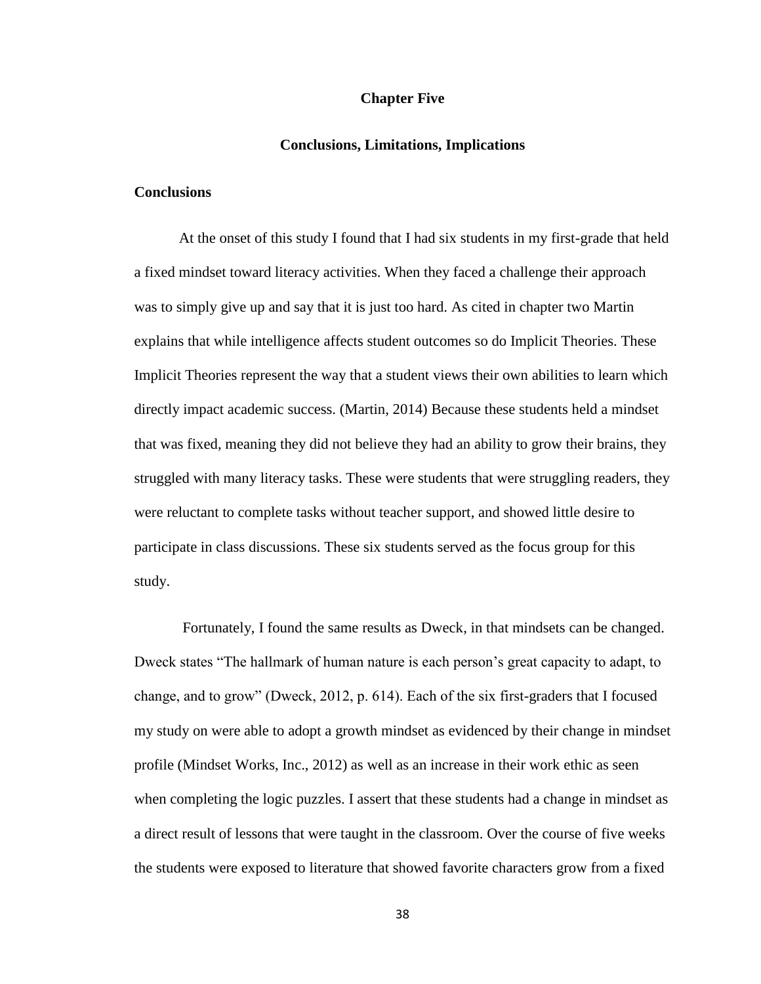#### **Chapter Five**

#### **Conclusions, Limitations, Implications**

# **Conclusions**

At the onset of this study I found that I had six students in my first-grade that held a fixed mindset toward literacy activities. When they faced a challenge their approach was to simply give up and say that it is just too hard. As cited in chapter two Martin explains that while intelligence affects student outcomes so do Implicit Theories. These Implicit Theories represent the way that a student views their own abilities to learn which directly impact academic success. (Martin, 2014) Because these students held a mindset that was fixed, meaning they did not believe they had an ability to grow their brains, they struggled with many literacy tasks. These were students that were struggling readers, they were reluctant to complete tasks without teacher support, and showed little desire to participate in class discussions. These six students served as the focus group for this study.

Fortunately, I found the same results as Dweck, in that mindsets can be changed. Dweck states "The hallmark of human nature is each person's great capacity to adapt, to change, and to grow" (Dweck, 2012, p. 614). Each of the six first-graders that I focused my study on were able to adopt a growth mindset as evidenced by their change in mindset profile (Mindset Works, Inc., 2012) as well as an increase in their work ethic as seen when completing the logic puzzles. I assert that these students had a change in mindset as a direct result of lessons that were taught in the classroom. Over the course of five weeks the students were exposed to literature that showed favorite characters grow from a fixed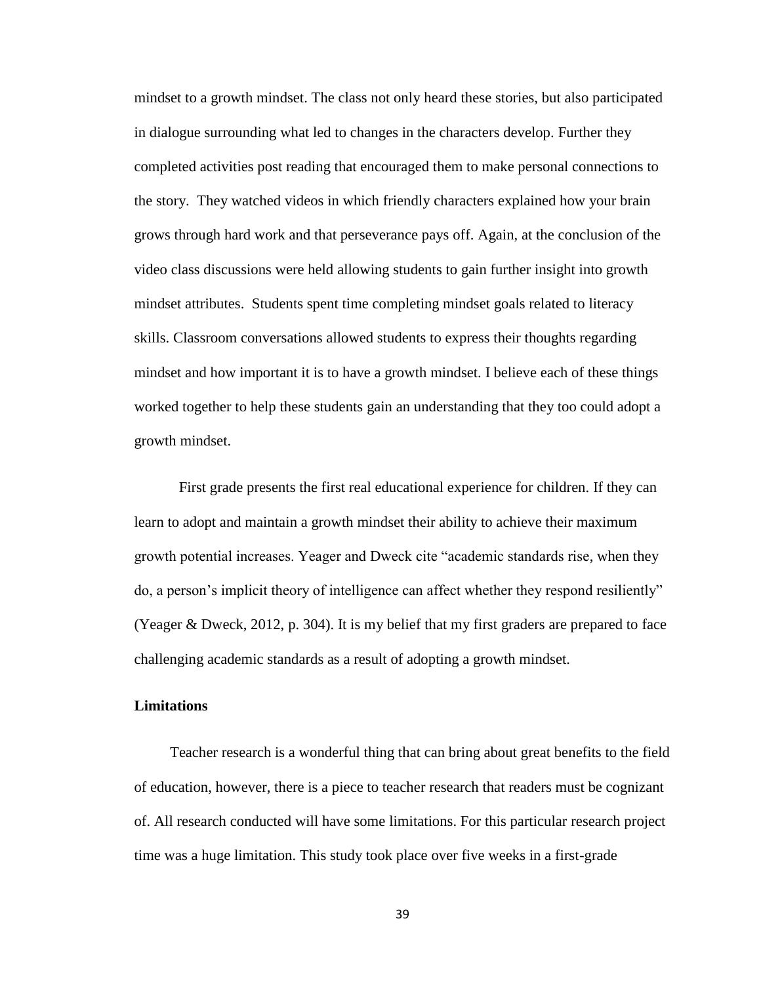mindset to a growth mindset. The class not only heard these stories, but also participated in dialogue surrounding what led to changes in the characters develop. Further they completed activities post reading that encouraged them to make personal connections to the story. They watched videos in which friendly characters explained how your brain grows through hard work and that perseverance pays off. Again, at the conclusion of the video class discussions were held allowing students to gain further insight into growth mindset attributes. Students spent time completing mindset goals related to literacy skills. Classroom conversations allowed students to express their thoughts regarding mindset and how important it is to have a growth mindset. I believe each of these things worked together to help these students gain an understanding that they too could adopt a growth mindset.

First grade presents the first real educational experience for children. If they can learn to adopt and maintain a growth mindset their ability to achieve their maximum growth potential increases. Yeager and Dweck cite "academic standards rise, when they do, a person's implicit theory of intelligence can affect whether they respond resiliently" (Yeager & Dweck, 2012, p. 304). It is my belief that my first graders are prepared to face challenging academic standards as a result of adopting a growth mindset.

#### **Limitations**

Teacher research is a wonderful thing that can bring about great benefits to the field of education, however, there is a piece to teacher research that readers must be cognizant of. All research conducted will have some limitations. For this particular research project time was a huge limitation. This study took place over five weeks in a first-grade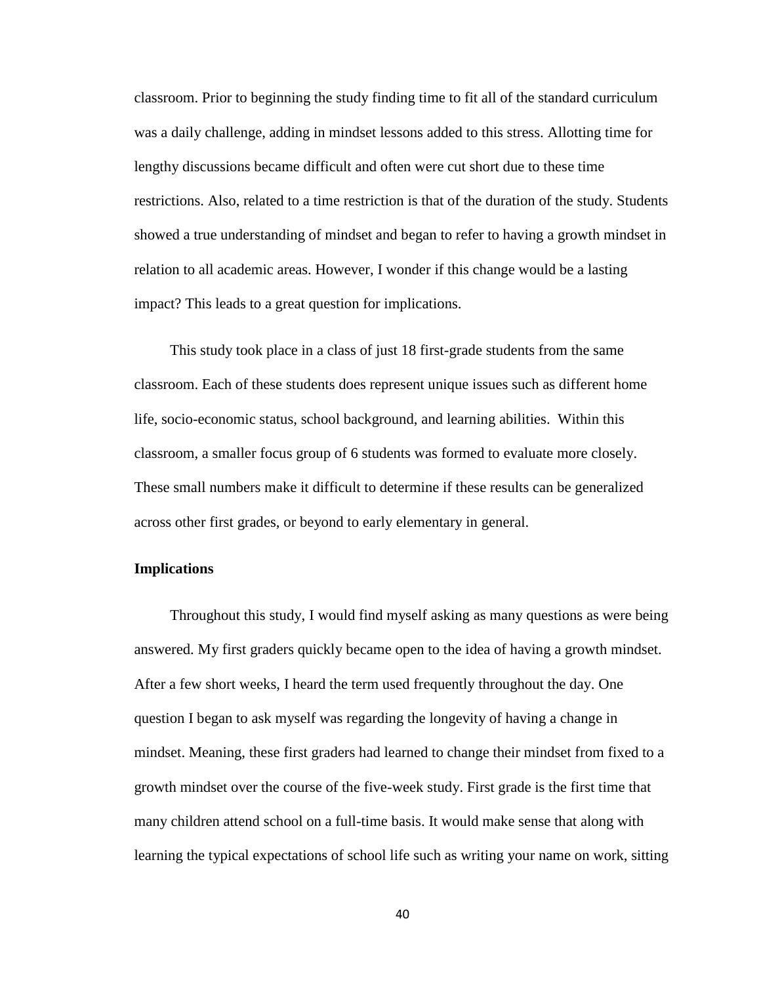classroom. Prior to beginning the study finding time to fit all of the standard curriculum was a daily challenge, adding in mindset lessons added to this stress. Allotting time for lengthy discussions became difficult and often were cut short due to these time restrictions. Also, related to a time restriction is that of the duration of the study. Students showed a true understanding of mindset and began to refer to having a growth mindset in relation to all academic areas. However, I wonder if this change would be a lasting impact? This leads to a great question for implications.

This study took place in a class of just 18 first-grade students from the same classroom. Each of these students does represent unique issues such as different home life, socio-economic status, school background, and learning abilities. Within this classroom, a smaller focus group of 6 students was formed to evaluate more closely. These small numbers make it difficult to determine if these results can be generalized across other first grades, or beyond to early elementary in general.

## **Implications**

Throughout this study, I would find myself asking as many questions as were being answered. My first graders quickly became open to the idea of having a growth mindset. After a few short weeks, I heard the term used frequently throughout the day. One question I began to ask myself was regarding the longevity of having a change in mindset. Meaning, these first graders had learned to change their mindset from fixed to a growth mindset over the course of the five-week study. First grade is the first time that many children attend school on a full-time basis. It would make sense that along with learning the typical expectations of school life such as writing your name on work, sitting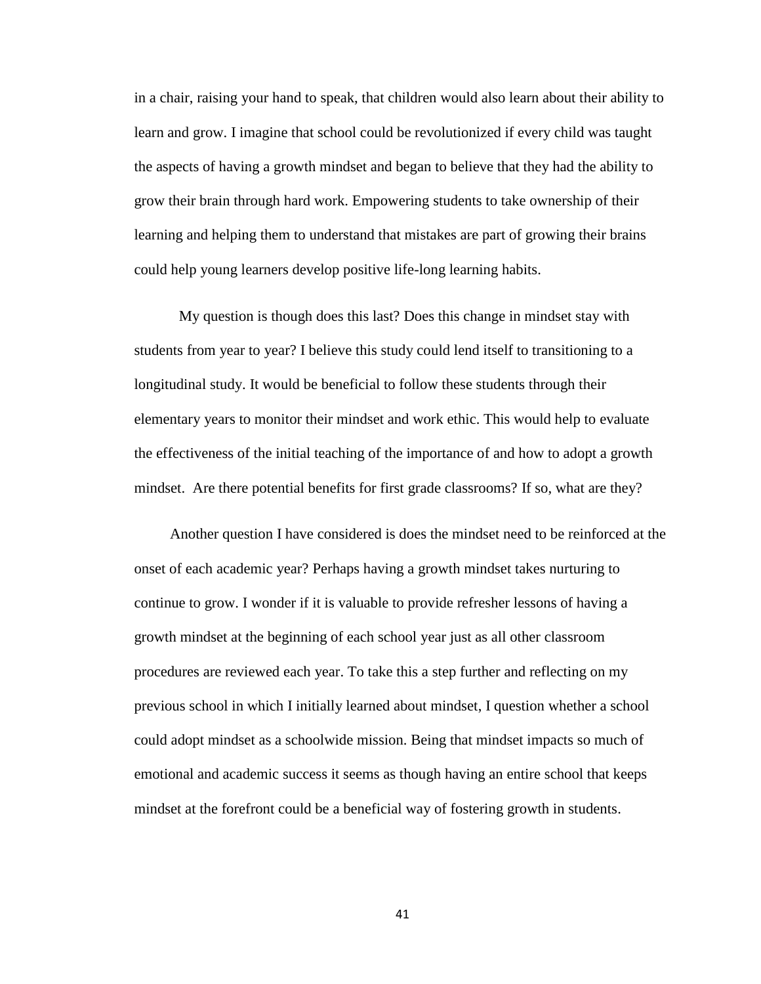in a chair, raising your hand to speak, that children would also learn about their ability to learn and grow. I imagine that school could be revolutionized if every child was taught the aspects of having a growth mindset and began to believe that they had the ability to grow their brain through hard work. Empowering students to take ownership of their learning and helping them to understand that mistakes are part of growing their brains could help young learners develop positive life-long learning habits.

My question is though does this last? Does this change in mindset stay with students from year to year? I believe this study could lend itself to transitioning to a longitudinal study. It would be beneficial to follow these students through their elementary years to monitor their mindset and work ethic. This would help to evaluate the effectiveness of the initial teaching of the importance of and how to adopt a growth mindset. Are there potential benefits for first grade classrooms? If so, what are they?

Another question I have considered is does the mindset need to be reinforced at the onset of each academic year? Perhaps having a growth mindset takes nurturing to continue to grow. I wonder if it is valuable to provide refresher lessons of having a growth mindset at the beginning of each school year just as all other classroom procedures are reviewed each year. To take this a step further and reflecting on my previous school in which I initially learned about mindset, I question whether a school could adopt mindset as a schoolwide mission. Being that mindset impacts so much of emotional and academic success it seems as though having an entire school that keeps mindset at the forefront could be a beneficial way of fostering growth in students.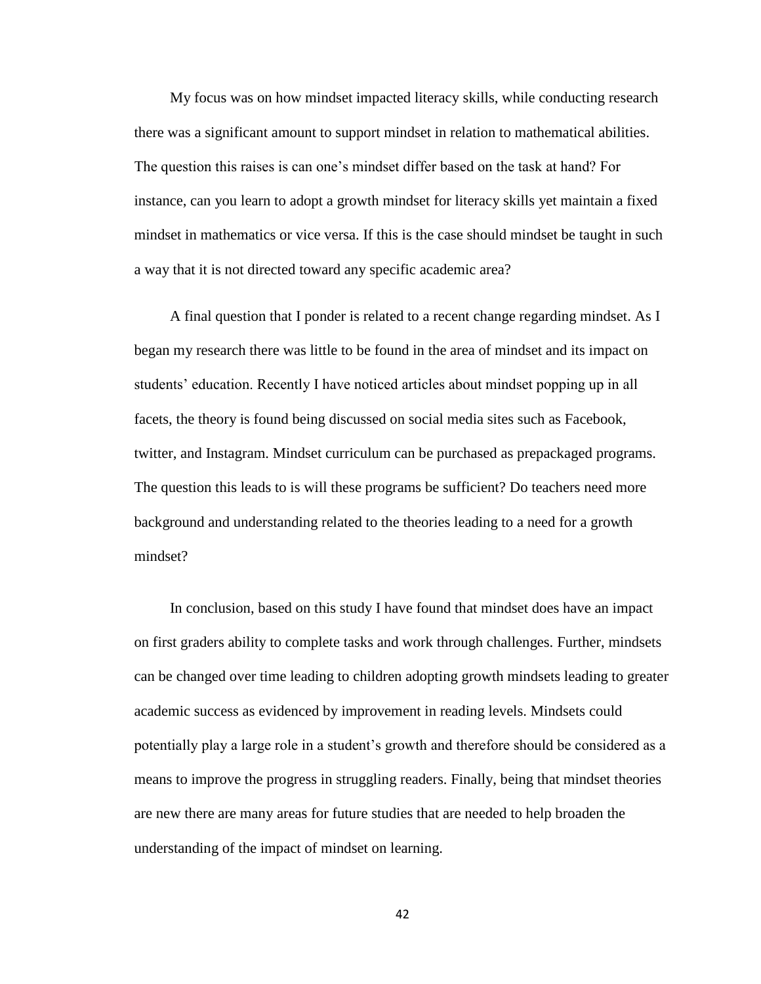My focus was on how mindset impacted literacy skills, while conducting research there was a significant amount to support mindset in relation to mathematical abilities. The question this raises is can one's mindset differ based on the task at hand? For instance, can you learn to adopt a growth mindset for literacy skills yet maintain a fixed mindset in mathematics or vice versa. If this is the case should mindset be taught in such a way that it is not directed toward any specific academic area?

A final question that I ponder is related to a recent change regarding mindset. As I began my research there was little to be found in the area of mindset and its impact on students' education. Recently I have noticed articles about mindset popping up in all facets, the theory is found being discussed on social media sites such as Facebook, twitter, and Instagram. Mindset curriculum can be purchased as prepackaged programs. The question this leads to is will these programs be sufficient? Do teachers need more background and understanding related to the theories leading to a need for a growth mindset?

In conclusion, based on this study I have found that mindset does have an impact on first graders ability to complete tasks and work through challenges. Further, mindsets can be changed over time leading to children adopting growth mindsets leading to greater academic success as evidenced by improvement in reading levels. Mindsets could potentially play a large role in a student's growth and therefore should be considered as a means to improve the progress in struggling readers. Finally, being that mindset theories are new there are many areas for future studies that are needed to help broaden the understanding of the impact of mindset on learning.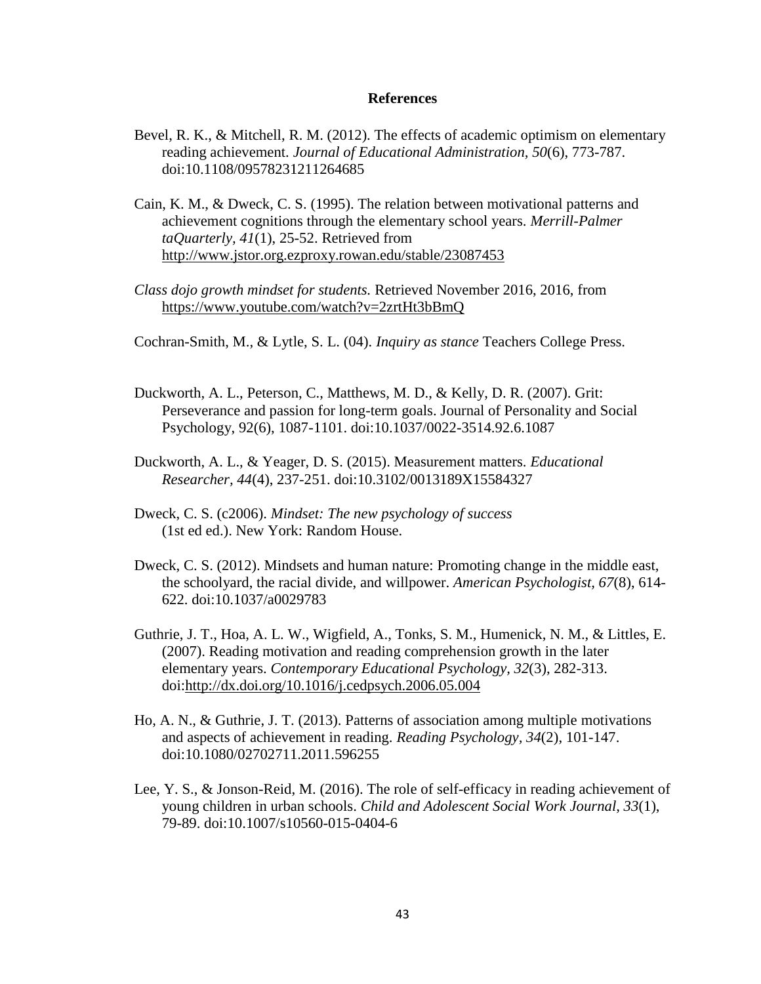#### **References**

- Bevel, R. K., & Mitchell, R. M. (2012). The effects of academic optimism on elementary reading achievement. *Journal of Educational Administration, 50*(6), 773-787. doi:10.1108/09578231211264685
- Cain, K. M., & Dweck, C. S. (1995). The relation between motivational patterns and achievement cognitions through the elementary school years. *Merrill-Palmer taQuarterly, 41*(1), 25-52. Retrieved from <http://www.jstor.org.ezproxy.rowan.edu/stable/23087453>
- *Class dojo growth mindset for students.* Retrieved November 2016, 2016, from <https://www.youtube.com/watch?v=2zrtHt3bBmQ>

Cochran-Smith, M., & Lytle, S. L. (04). *Inquiry as stance* Teachers College Press.

- Duckworth, A. L., Peterson, C., Matthews, M. D., & Kelly, D. R. (2007). Grit: Perseverance and passion for long-term goals. Journal of Personality and Social Psychology, 92(6), 1087-1101. doi:10.1037/0022-3514.92.6.1087
- Duckworth, A. L., & Yeager, D. S. (2015). Measurement matters. *Educational Researcher, 44*(4), 237-251. doi:10.3102/0013189X15584327
- Dweck, C. S. (c2006). *Mindset: The new psychology of success* (1st ed ed.). New York: Random House.
- Dweck, C. S. (2012). Mindsets and human nature: Promoting change in the middle east, the schoolyard, the racial divide, and willpower. *American Psychologist, 67*(8), 614- 622. doi:10.1037/a0029783
- Guthrie, J. T., Hoa, A. L. W., Wigfield, A., Tonks, S. M., Humenick, N. M., & Littles, E. (2007). Reading motivation and reading comprehension growth in the later elementary years. *Contemporary Educational Psychology, 32*(3), 282-313. doi[:http://dx.doi.org/10.1016/j.cedpsych.2006.05.004](http://dx.doi.org/10.1016/j.cedpsych.2006.05.004)
- Ho, A. N., & Guthrie, J. T. (2013). Patterns of association among multiple motivations and aspects of achievement in reading. *Reading Psychology, 34*(2), 101-147. doi:10.1080/02702711.2011.596255
- Lee, Y. S., & Jonson-Reid, M. (2016). The role of self-efficacy in reading achievement of young children in urban schools. *Child and Adolescent Social Work Journal, 33*(1), 79-89. doi:10.1007/s10560-015-0404-6